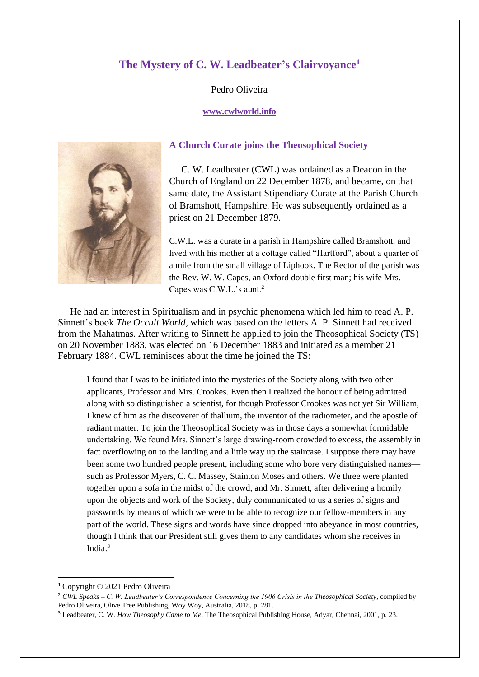# **The Mystery of C. W. Leadbeater's Clairvoyance<sup>1</sup>**

#### Pedro Oliveira

### **[www.cwlworld.info](http://www.cwlworld.info/)**



## **A Church Curate joins the Theosophical Society**

 C. W. Leadbeater (CWL) was ordained as a Deacon in the Church of England on 22 December 1878, and became, on that same date, the Assistant Stipendiary Curate at the Parish Church of Bramshott, Hampshire. He was subsequently ordained as a priest on 21 December 1879.

C.W.L. was a curate in a parish in Hampshire called Bramshott, and lived with his mother at a cottage called "Hartford", about a quarter of a mile from the small village of Liphook. The Rector of the parish was the Rev. W. W. Capes, an Oxford double first man; his wife Mrs. Capes was C.W.L.'s aunt.<sup>2</sup>

 He had an interest in Spiritualism and in psychic phenomena which led him to read A. P. Sinnett's book *The Occult World*, which was based on the letters A. P. Sinnett had received from the Mahatmas. After writing to Sinnett he applied to join the Theosophical Society (TS) on 20 November 1883, was elected on 16 December 1883 and initiated as a member 21 February 1884. CWL reminisces about the time he joined the TS:

I found that I was to be initiated into the mysteries of the Society along with two other applicants, Professor and Mrs. Crookes. Even then I realized the honour of being admitted along with so distinguished a scientist, for though Professor Crookes was not yet Sir William, I knew of him as the discoverer of thallium, the inventor of the radiometer, and the apostle of radiant matter. To join the Theosophical Society was in those days a somewhat formidable undertaking. We found Mrs. Sinnett's large drawing-room crowded to excess, the assembly in fact overflowing on to the landing and a little way up the staircase. I suppose there may have been some two hundred people present, including some who bore very distinguished names such as Professor Myers, C. C. Massey, Stainton Moses and others. We three were planted together upon a sofa in the midst of the crowd, and Mr. Sinnett, after delivering a homily upon the objects and work of the Society, duly communicated to us a series of signs and passwords by means of which we were to be able to recognize our fellow-members in any part of the world. These signs and words have since dropped into abeyance in most countries, though I think that our President still gives them to any candidates whom she receives in India. $3$ 

<sup>1</sup> Copyright © 2021 Pedro Oliveira

<sup>2</sup> *CWL Speaks – C. W. Leadbeater's Correspondence Concerning the 1906 Crisis in the Theosophical Society*, compiled by Pedro Oliveira, Olive Tree Publishing, Woy Woy, Australia, 2018, p. 281.

<sup>3</sup> Leadbeater, C. W. *How Theosophy Came to Me*, The Theosophical Publishing House, Adyar, Chennai, 2001, p. 23.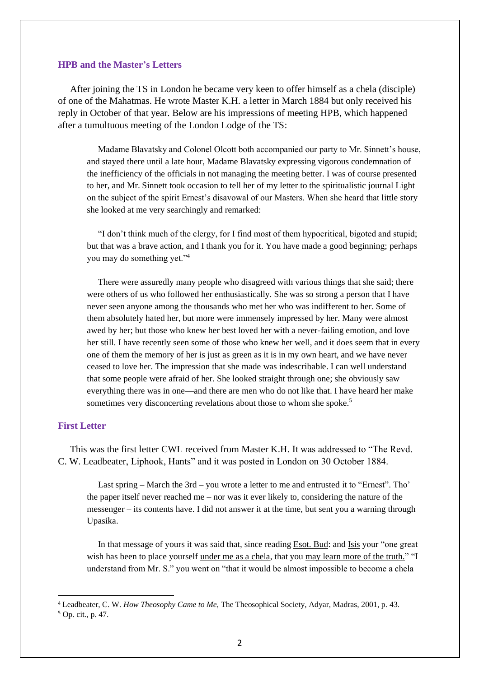#### **HPB and the Master's Letters**

 After joining the TS in London he became very keen to offer himself as a chela (disciple) of one of the Mahatmas. He wrote Master K.H. a letter in March 1884 but only received his reply in October of that year. Below are his impressions of meeting HPB, which happened after a tumultuous meeting of the London Lodge of the TS:

 Madame Blavatsky and Colonel Olcott both accompanied our party to Mr. Sinnett's house, and stayed there until a late hour, Madame Blavatsky expressing vigorous condemnation of the inefficiency of the officials in not managing the meeting better. I was of course presented to her, and Mr. Sinnett took occasion to tell her of my letter to the spiritualistic journal Light on the subject of the spirit Ernest's disavowal of our Masters. When she heard that little story she looked at me very searchingly and remarked:

 "I don't think much of the clergy, for I find most of them hypocritical, bigoted and stupid; but that was a brave action, and I thank you for it. You have made a good beginning; perhaps you may do something yet."<sup>4</sup>

 There were assuredly many people who disagreed with various things that she said; there were others of us who followed her enthusiastically. She was so strong a person that I have never seen anyone among the thousands who met her who was indifferent to her. Some of them absolutely hated her, but more were immensely impressed by her. Many were almost awed by her; but those who knew her best loved her with a never-failing emotion, and love her still. I have recently seen some of those who knew her well, and it does seem that in every one of them the memory of her is just as green as it is in my own heart, and we have never ceased to love her. The impression that she made was indescribable. I can well understand that some people were afraid of her. She looked straight through one; she obviously saw everything there was in one—and there are men who do not like that. I have heard her make sometimes very disconcerting revelations about those to whom she spoke.<sup>5</sup>

## **First Letter**

 This was the first letter CWL received from Master K.H. It was addressed to "The Revd. C. W. Leadbeater, Liphook, Hants" and it was posted in London on 30 October 1884.

 Last spring – March the 3rd – you wrote a letter to me and entrusted it to "Ernest". Tho' the paper itself never reached me – nor was it ever likely to, considering the nature of the messenger – its contents have. I did not answer it at the time, but sent you a warning through Upasika.

 In that message of yours it was said that, since reading Esot. Bud: and Isis your "one great wish has been to place yourself under me as a chela, that you may learn more of the truth." "I understand from Mr. S." you went on "that it would be almost impossible to become a chela

<sup>4</sup> Leadbeater, C. W. *How Theosophy Came to Me*, The Theosophical Society, Adyar, Madras, 2001, p. 43. <sup>5</sup> Op. cit., p. 47.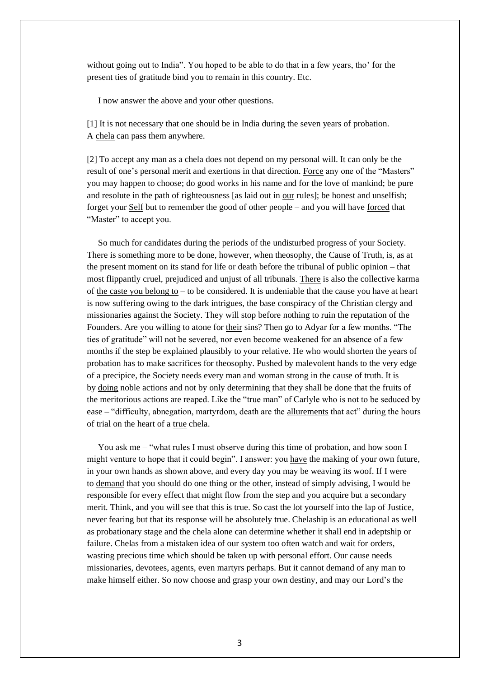without going out to India". You hoped to be able to do that in a few years, tho' for the present ties of gratitude bind you to remain in this country. Etc.

I now answer the above and your other questions.

[1] It is not necessary that one should be in India during the seven years of probation. A chela can pass them anywhere.

[2] To accept any man as a chela does not depend on my personal will. It can only be the result of one's personal merit and exertions in that direction. Force any one of the "Masters" you may happen to choose; do good works in his name and for the love of mankind; be pure and resolute in the path of righteousness [as laid out in our rules]; be honest and unselfish; forget your Self but to remember the good of other people – and you will have forced that "Master" to accept you.

 So much for candidates during the periods of the undisturbed progress of your Society. There is something more to be done, however, when theosophy, the Cause of Truth, is, as at the present moment on its stand for life or death before the tribunal of public opinion – that most flippantly cruel, prejudiced and unjust of all tribunals. There is also the collective karma of the caste you belong to  $-$  to be considered. It is undeniable that the cause you have at heart is now suffering owing to the dark intrigues, the base conspiracy of the Christian clergy and missionaries against the Society. They will stop before nothing to ruin the reputation of the Founders. Are you willing to atone for their sins? Then go to Adyar for a few months. "The ties of gratitude" will not be severed, nor even become weakened for an absence of a few months if the step be explained plausibly to your relative. He who would shorten the years of probation has to make sacrifices for theosophy. Pushed by malevolent hands to the very edge of a precipice, the Society needs every man and woman strong in the cause of truth. It is by doing noble actions and not by only determining that they shall be done that the fruits of the meritorious actions are reaped. Like the "true man" of Carlyle who is not to be seduced by ease – "difficulty, abnegation, martyrdom, death are the allurements that act" during the hours of trial on the heart of a true chela.

You ask me – "what rules I must observe during this time of probation, and how soon I might venture to hope that it could begin". I answer: you have the making of your own future, in your own hands as shown above, and every day you may be weaving its woof. If I were to demand that you should do one thing or the other, instead of simply advising, I would be responsible for every effect that might flow from the step and you acquire but a secondary merit. Think, and you will see that this is true. So cast the lot yourself into the lap of Justice, never fearing but that its response will be absolutely true. Chelaship is an educational as well as probationary stage and the chela alone can determine whether it shall end in adeptship or failure. Chelas from a mistaken idea of our system too often watch and wait for orders, wasting precious time which should be taken up with personal effort. Our cause needs missionaries, devotees, agents, even martyrs perhaps. But it cannot demand of any man to make himself either. So now choose and grasp your own destiny, and may our Lord's the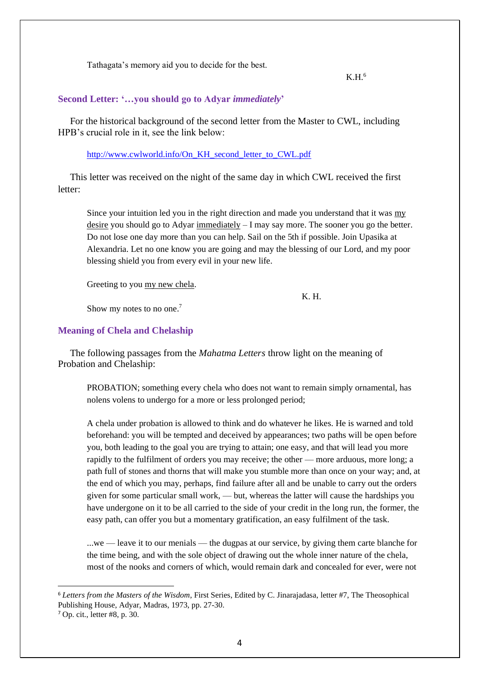Tathagata's memory aid you to decide for the best.

 $K.H.6$ 

## **Second Letter: '…you should go to Adyar** *immediately***'**

 For the historical background of the second letter from the Master to CWL, including HPB's crucial role in it, see the link below:

[http://www.cwlworld.info/On\\_KH\\_second\\_letter\\_to\\_CWL.pdf](http://www.cwlworld.info/On_KH_second_letter_to_CWL.pdf)

 This letter was received on the night of the same day in which CWL received the first letter:

Since your intuition led you in the right direction and made you understand that it was my desire you should go to Adyar immediately – I may say more. The sooner you go the better. Do not lose one day more than you can help. Sail on the 5th if possible. Join Upasika at Alexandria. Let no one know you are going and may the blessing of our Lord, and my poor blessing shield you from every evil in your new life.

Greeting to you my new chela.

K. H.

Show my notes to no one.<sup>7</sup>

## **Meaning of Chela and Chelaship**

 The following passages from the *Mahatma Letters* throw light on the meaning of Probation and Chelaship:

PROBATION; something every chela who does not want to remain simply ornamental, has nolens volens to undergo for a more or less prolonged period;

A chela under probation is allowed to think and do whatever he likes. He is warned and told beforehand: you will be tempted and deceived by appearances; two paths will be open before you, both leading to the goal you are trying to attain; one easy, and that will lead you more rapidly to the fulfilment of orders you may receive; the other — more arduous, more long; a path full of stones and thorns that will make you stumble more than once on your way; and, at the end of which you may, perhaps, find failure after all and be unable to carry out the orders given for some particular small work, — but, whereas the latter will cause the hardships you have undergone on it to be all carried to the side of your credit in the long run, the former, the easy path, can offer you but a momentary gratification, an easy fulfilment of the task.

...we — leave it to our menials — the dugpas at our service, by giving them carte blanche for the time being, and with the sole object of drawing out the whole inner nature of the chela, most of the nooks and corners of which, would remain dark and concealed for ever, were not

<sup>6</sup> *Letters from the Masters of the Wisdom*, First Series, Edited by C. Jinarajadasa, letter #7, The Theosophical Publishing House, Adyar, Madras, 1973, pp. 27-30.

<sup>7</sup> Op. cit., letter #8, p. 30.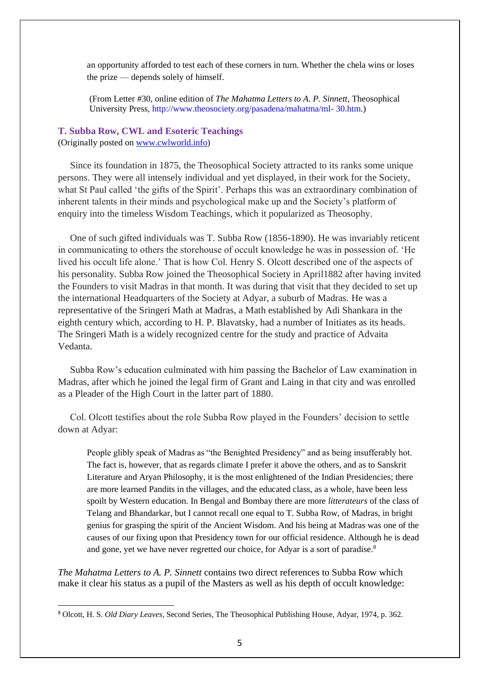an opportunity afforded to test each of these corners in turn. Whether the chela wins or loses the prize — depends solely of himself.

(From Letter #30, online edition of *The Mahatma Letters to A. P. Sinnett*, Theosophical University Press, http://www.theosociety.org/pasadena/mahatma/ml- 30.htm.)

#### **T. Subba Row, CWL and Esoteric Teachings**

(Originally posted on [www.cwlworld.info\)](http://www.cwlworld.info/)

 Since its foundation in 1875, the Theosophical Society attracted to its ranks some unique persons. They were all intensely individual and yet displayed, in their work for the Society, what St Paul called 'the gifts of the Spirit'. Perhaps this was an extraordinary combination of inherent talents in their minds and psychological make up and the Society's platform of enquiry into the timeless Wisdom Teachings, which it popularized as Theosophy.

 One of such gifted individuals was T. Subba Row (1856-1890). He was invariably reticent in communicating to others the storehouse of occult knowledge he was in possession of. 'He lived his occult life alone.' That is how Col. Henry S. Olcott described one of the aspects of his personality. Subba Row joined the Theosophical Society in April1882 after having invited the Founders to visit Madras in that month. It was during that visit that they decided to set up the international Headquarters of the Society at Adyar, a suburb of Madras. He was a representative of the Sringeri Math at Madras, a Math established by Adi Shankara in the eighth century which, according to H. P. Blavatsky, had a number of Initiates as its heads. The Sringeri Math is a widely recognized centre for the study and practice of Advaita Vedanta.

 Subba Row's education culminated with him passing the Bachelor of Law examination in Madras, after which he joined the legal firm of Grant and Laing in that city and was enrolled as a Pleader of the High Court in the latter part of 1880.

 Col. Olcott testifies about the role Subba Row played in the Founders' decision to settle down at Adyar:

People glibly speak of Madras as "the Benighted Presidency" and as being insufferably hot. The fact is, however, that as regards climate I prefer it above the others, and as to Sanskrit Literature and Aryan Philosophy, it is the most enlightened of the Indian Presidencies; there are more learned Pandits in the villages, and the educated class, as a whole, have been less spoilt by Western education. In Bengal and Bombay there are more *litterateurs* of the class of Telang and Bhandarkar, but I cannot recall one equal to T. Subba Row, of Madras, in bright genius for grasping the spirit of the Ancient Wisdom. And his being at Madras was one of the causes of our fixing upon that Presidency town for our official residence. Although he is dead and gone, yet we have never regretted our choice, for Adyar is a sort of paradise.<sup>8</sup>

*The Mahatma Letters to A. P. Sinnett* contains two direct references to Subba Row which make it clear his status as a pupil of the Masters as well as his depth of occult knowledge:

<sup>8</sup> Olcott, H. S. *Old Diary Leaves*, Second Series, The Theosophical Publishing House, Adyar, 1974, p. 362.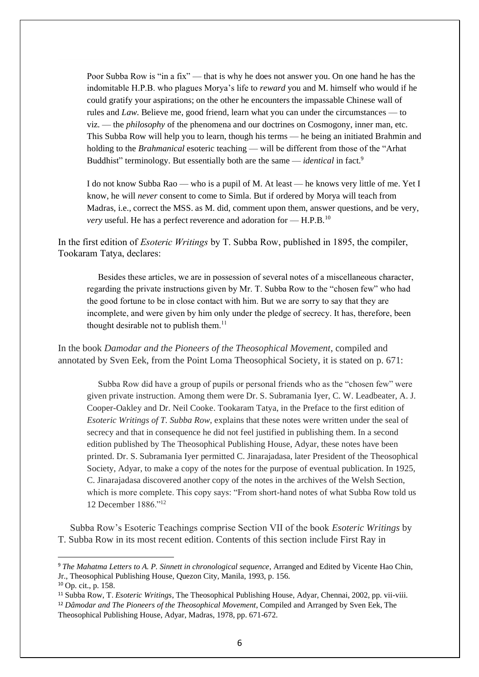Poor Subba Row is "in a fix" — that is why he does not answer you. On one hand he has the indomitable H.P.B. who plagues Morya's life to *reward* you and M. himself who would if he could gratify your aspirations; on the other he encounters the impassable Chinese wall of rules and *Law*. Believe me, good friend, learn what you can under the circumstances — to viz. — the *philosophy* of the phenomena and our doctrines on Cosmogony, inner man, etc. This Subba Row will help you to learn, though his terms — he being an initiated Brahmin and holding to the *Brahmanical* esoteric teaching — will be different from those of the "Arhat Buddhist" terminology. But essentially both are the same — *identical* in fact.<sup>9</sup>

I do not know Subba Rao — who is a pupil of M. At least — he knows very little of me. Yet I know, he will *never* consent to come to Simla. But if ordered by Morya will teach from Madras, i.e., correct the MSS. as M. did, comment upon them, answer questions, and be very, *very* useful. He has a perfect reverence and adoration for — H.P.B.<sup>10</sup>

In the first edition of *Esoteric Writings* by T. Subba Row, published in 1895, the compiler, Tookaram Tatya, declares:

 Besides these articles, we are in possession of several notes of a miscellaneous character, regarding the private instructions given by Mr. T. Subba Row to the "chosen few" who had the good fortune to be in close contact with him. But we are sorry to say that they are incomplete, and were given by him only under the pledge of secrecy. It has, therefore, been thought desirable not to publish them.<sup>11</sup>

In the book *Damodar and the Pioneers of the Theosophical Movement*, compiled and annotated by Sven Eek, from the Point Loma Theosophical Society, it is stated on p. 671:

 Subba Row did have a group of pupils or personal friends who as the "chosen few" were given private instruction. Among them were Dr. S. Subramania Iyer, C. W. Leadbeater, A. J. Cooper-Oakley and Dr. Neil Cooke. Tookaram Tatya, in the Preface to the first edition of *Esoteric Writings of T. Subba Row*, explains that these notes were written under the seal of secrecy and that in consequence he did not feel justified in publishing them. In a second edition published by The Theosophical Publishing House, Adyar, these notes have been printed. Dr. S. Subramania Iyer permitted C. Jinarajadasa, later President of the Theosophical Society, Adyar, to make a copy of the notes for the purpose of eventual publication. In 1925, C. Jinarajadasa discovered another copy of the notes in the archives of the Welsh Section, which is more complete. This copy says: "From short-hand notes of what Subba Row told us 12 December 1886."<sup>12</sup>

 Subba Row's Esoteric Teachings comprise Section VII of the book *Esoteric Writings* by T. Subba Row in its most recent edition. Contents of this section include First Ray in

<sup>9</sup> *The Mahatma Letters to A. P. Sinnett in chronological sequence*, Arranged and Edited by Vicente Hao Chin, Jr., Theosophical Publishing House, Quezon City, Manila, 1993, p. 156.

<sup>10</sup> Op. cit., p. 158.

<sup>11</sup> Subba Row, T. *Esoteric Writings*, The Theosophical Publishing House, Adyar, Chennai, 2002, pp. vii-viii. <sup>12</sup> *Dâmodar and The Pioneers of the Theosophical Movement*, Compiled and Arranged by Sven Eek, The

Theosophical Publishing House, Adyar, Madras, 1978, pp. 671-672.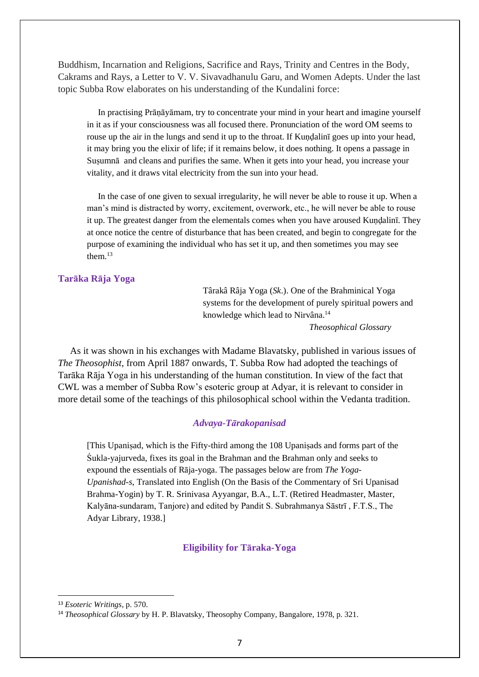Buddhism, Incarnation and Religions, Sacrifice and Rays, Trinity and Centres in the Body, Cakrams and Rays, a Letter to V. V. Sivavadhanulu Garu, and Women Adepts. Under the last topic Subba Row elaborates on his understanding of the Kundalini force:

 In practising Prāṇāyāmam, try to concentrate your mind in your heart and imagine yourself in it as if your consciousness was all focused there. Pronunciation of the word OM seems to rouse up the air in the lungs and send it up to the throat. If Kundalini goes up into your head, it may bring you the elixir of life; if it remains below, it does nothing. It opens a passage in Susumnā and cleans and purifies the same. When it gets into your head, you increase your vitality, and it draws vital electricity from the sun into your head.

 In the case of one given to sexual irregularity, he will never be able to rouse it up. When a man's mind is distracted by worry, excitement, overwork, etc., he will never be able to rouse it up. The greatest danger from the elementals comes when you have aroused Kuṇḍalinī. They at once notice the centre of disturbance that has been created, and begin to congregate for the purpose of examining the individual who has set it up, and then sometimes you may see them $13$ 

## **Tarāka Rāja Yoga**

Târakâ Râja Yoga (*Sk*.). One of the Brahminical Yoga systems for the development of purely spiritual powers and knowledge which lead to Nirvâna.<sup>14</sup>

 *Theosophical Glossary*

 As it was shown in his exchanges with Madame Blavatsky, published in various issues of *The Theosophist*, from April 1887 onwards, T. Subba Row had adopted the teachings of Tarāka Rāja Yoga in his understanding of the human constitution. In view of the fact that CWL was a member of Subba Row's esoteric group at Adyar, it is relevant to consider in more detail some of the teachings of this philosophical school within the Vedanta tradition.

## *Advaya-Tārakopanisad*

[This Upaniṣad, which is the Fifty-third among the 108 Upaniṣads and forms part of the Śukla-yajurveda, fixes its goal in the Brahman and the Brahman only and seeks to expound the essentials of Rāja-yoga. The passages below are from *The Yoga-Upanishad-s*, Translated into English (On the Basis of the Commentary of Sri Upanisad Brahma-Yogin) by T. R. Srinivasa Ayyangar, B.A., L.T. (Retired Headmaster, Master, Kalyāna-sundaram, Tanjore) and edited by Pandit S. Subrahmanya Sāstrī , F.T.S., The Adyar Library, 1938.]

## **Eligibility for Tāraka-Yoga**

<sup>13</sup> *Esoteric Writings*, p. 570.

<sup>14</sup> *Theosophical Glossary* by H. P. Blavatsky, Theosophy Company, Bangalore, 1978, p. 321.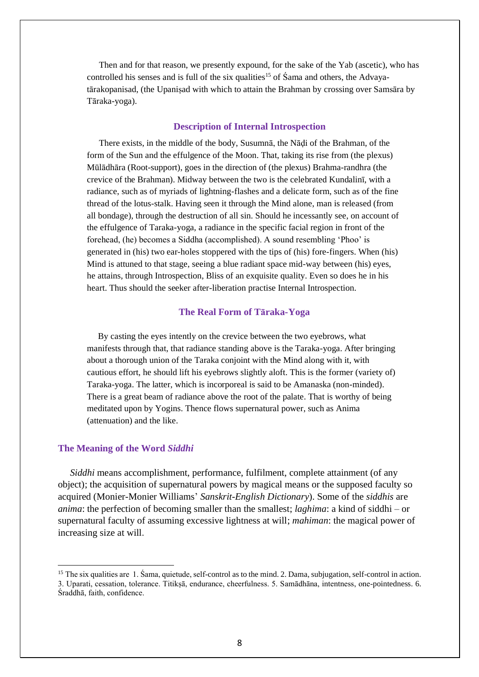Then and for that reason, we presently expound, for the sake of the Yab (ascetic), who has controlled his senses and is full of the six qualities<sup>15</sup> of  $\hat{S}$ ama and others, the Advayatārakopanisad, (the Upaniṣad with which to attain the Brahman by crossing over Samsāra by Tāraka-yoga).

#### **Description of Internal Introspection**

 There exists, in the middle of the body, Susumnā, the Nāḍi of the Brahman, of the form of the Sun and the effulgence of the Moon. That, taking its rise from (the plexus) Mūlādhāra (Root-support), goes in the direction of (the plexus) Brahma-randhra (the crevice of the Brahman). Midway between the two is the celebrated Kundalinī, with a radiance, such as of myriads of lightning-flashes and a delicate form, such as of the fine thread of the lotus-stalk. Having seen it through the Mind alone, man is released (from all bondage), through the destruction of all sin. Should he incessantly see, on account of the effulgence of Taraka-yoga, a radiance in the specific facial region in front of the forehead, (he) becomes a Siddha (accomplished). A sound resembling 'Phoo' is generated in (his) two ear-holes stoppered with the tips of (his) fore-fingers. When (his) Mind is attuned to that stage, seeing a blue radiant space mid-way between (his) eyes, he attains, through Introspection, Bliss of an exquisite quality. Even so does he in his heart. Thus should the seeker after-liberation practise Internal Introspection.

## **The Real Form of Tāraka-Yoga**

 By casting the eyes intently on the crevice between the two eyebrows, what manifests through that, that radiance standing above is the Taraka-yoga. After bringing about a thorough union of the Taraka conjoint with the Mind along with it, with cautious effort, he should lift his eyebrows slightly aloft. This is the former (variety of) Taraka-yoga. The latter, which is incorporeal is said to be Amanaska (non-minded). There is a great beam of radiance above the root of the palate. That is worthy of being meditated upon by Yogins. Thence flows supernatural power, such as Anima (attenuation) and the like.

#### **The Meaning of the Word** *Siddhi*

 *Siddhi* means accomplishment, performance, fulfilment, complete attainment (of any object); the acquisition of supernatural powers by magical means or the supposed faculty so acquired (Monier-Monier Williams' *Sanskrit-English Dictionary*). Some of the *siddhis* are *anima*: the perfection of becoming smaller than the smallest; *laghima*: a kind of siddhi – or supernatural faculty of assuming excessive lightness at will; *mahiman*: the magical power of increasing size at will.

<sup>&</sup>lt;sup>15</sup> The six qualities are 1. Sama, quietude, self-control as to the mind. 2. Dama, subjugation, self-control in action. 3. Uparati, cessation, tolerance. Titikṣā, endurance, cheerfulness. 5. Samādhāna, intentness, one-pointedness. 6. Śraddhā, faith, confidence.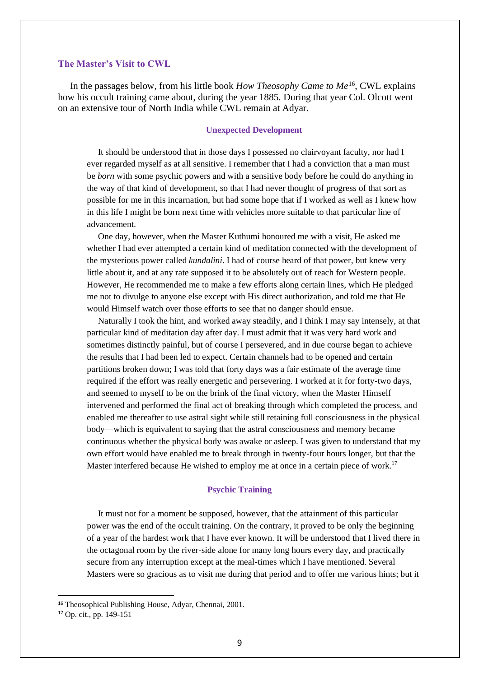#### **The Master's Visit to CWL**

In the passages below, from his little book *How Theosophy Came to Me*<sup>16</sup>, CWL explains how his occult training came about, during the year 1885. During that year Col. Olcott went on an extensive tour of North India while CWL remain at Adyar.

#### **Unexpected Development**

 It should be understood that in those days I possessed no clairvoyant faculty, nor had I ever regarded myself as at all sensitive. I remember that I had a conviction that a man must be *born* with some psychic powers and with a sensitive body before he could do anything in the way of that kind of development, so that I had never thought of progress of that sort as possible for me in this incarnation, but had some hope that if I worked as well as I knew how in this life I might be born next time with vehicles more suitable to that particular line of advancement.

 One day, however, when the Master Kuthumi honoured me with a visit, He asked me whether I had ever attempted a certain kind of meditation connected with the development of the mysterious power called *kundalini*. I had of course heard of that power, but knew very little about it, and at any rate supposed it to be absolutely out of reach for Western people. However, He recommended me to make a few efforts along certain lines, which He pledged me not to divulge to anyone else except with His direct authorization, and told me that He would Himself watch over those efforts to see that no danger should ensue.

 Naturally I took the hint, and worked away steadily, and I think I may say intensely, at that particular kind of meditation day after day. I must admit that it was very hard work and sometimes distinctly painful, but of course I persevered, and in due course began to achieve the results that I had been led to expect. Certain channels had to be opened and certain partitions broken down; I was told that forty days was a fair estimate of the average time required if the effort was really energetic and persevering. I worked at it for forty-two days, and seemed to myself to be on the brink of the final victory, when the Master Himself intervened and performed the final act of breaking through which completed the process, and enabled me thereafter to use astral sight while still retaining full consciousness in the physical body—which is equivalent to saying that the astral consciousness and memory became continuous whether the physical body was awake or asleep. I was given to understand that my own effort would have enabled me to break through in twenty-four hours longer, but that the Master interfered because He wished to employ me at once in a certain piece of work.<sup>17</sup>

#### **Psychic Training**

 It must not for a moment be supposed, however, that the attainment of this particular power was the end of the occult training. On the contrary, it proved to be only the beginning of a year of the hardest work that I have ever known. It will be understood that I lived there in the octagonal room by the river-side alone for many long hours every day, and practically secure from any interruption except at the meal-times which I have mentioned. Several Masters were so gracious as to visit me during that period and to offer me various hints; but it

<sup>16</sup> Theosophical Publishing House, Adyar, Chennai, 2001.

<sup>17</sup> Op. cit., pp. 149-151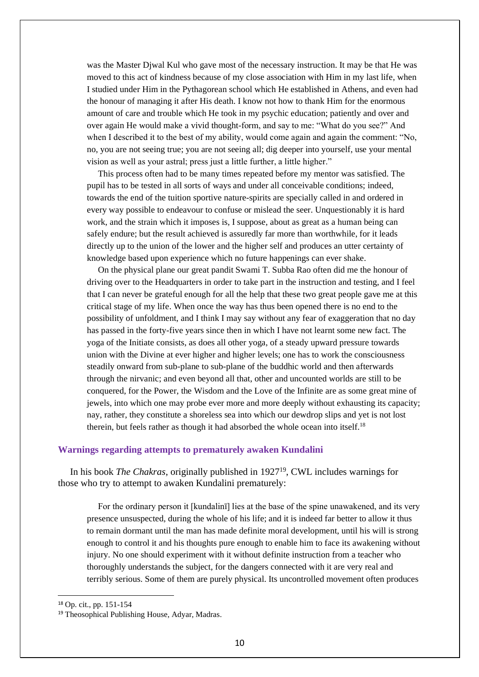was the Master Djwal Kul who gave most of the necessary instruction. It may be that He was moved to this act of kindness because of my close association with Him in my last life, when I studied under Him in the Pythagorean school which He established in Athens, and even had the honour of managing it after His death. I know not how to thank Him for the enormous amount of care and trouble which He took in my psychic education; patiently and over and over again He would make a vivid thought-form, and say to me: "What do you see?" And when I described it to the best of my ability, would come again and again the comment: "No, no, you are not seeing true; you are not seeing all; dig deeper into yourself, use your mental vision as well as your astral; press just a little further, a little higher."

 This process often had to be many times repeated before my mentor was satisfied. The pupil has to be tested in all sorts of ways and under all conceivable conditions; indeed, towards the end of the tuition sportive nature-spirits are specially called in and ordered in every way possible to endeavour to confuse or mislead the seer. Unquestionably it is hard work, and the strain which it imposes is, I suppose, about as great as a human being can safely endure; but the result achieved is assuredly far more than worthwhile, for it leads directly up to the union of the lower and the higher self and produces an utter certainty of knowledge based upon experience which no future happenings can ever shake.

 On the physical plane our great pandit Swami T. Subba Rao often did me the honour of driving over to the Headquarters in order to take part in the instruction and testing, and I feel that I can never be grateful enough for all the help that these two great people gave me at this critical stage of my life. When once the way has thus been opened there is no end to the possibility of unfoldment, and I think I may say without any fear of exaggeration that no day has passed in the forty-five years since then in which I have not learnt some new fact. The yoga of the Initiate consists, as does all other yoga, of a steady upward pressure towards union with the Divine at ever higher and higher levels; one has to work the consciousness steadily onward from sub-plane to sub-plane of the buddhic world and then afterwards through the nirvanic; and even beyond all that, other and uncounted worlds are still to be conquered, for the Power, the Wisdom and the Love of the Infinite are as some great mine of jewels, into which one may probe ever more and more deeply without exhausting its capacity; nay, rather, they constitute a shoreless sea into which our dewdrop slips and yet is not lost therein, but feels rather as though it had absorbed the whole ocean into itself.<sup>18</sup>

#### **Warnings regarding attempts to prematurely awaken Kundalini**

 In his book *The Chakras*, originally published in 1927<sup>19</sup>, CWL includes warnings for those who try to attempt to awaken Kundalini prematurely:

 For the ordinary person it [kundalinī] lies at the base of the spine unawakened, and its very presence unsuspected, during the whole of his life; and it is indeed far better to allow it thus to remain dormant until the man has made definite moral development, until his will is strong enough to control it and his thoughts pure enough to enable him to face its awakening without injury. No one should experiment with it without definite instruction from a teacher who thoroughly understands the subject, for the dangers connected with it are very real and terribly serious. Some of them are purely physical. Its uncontrolled movement often produces

<sup>18</sup> Op. cit., pp. 151-154

<sup>19</sup> Theosophical Publishing House, Adyar, Madras.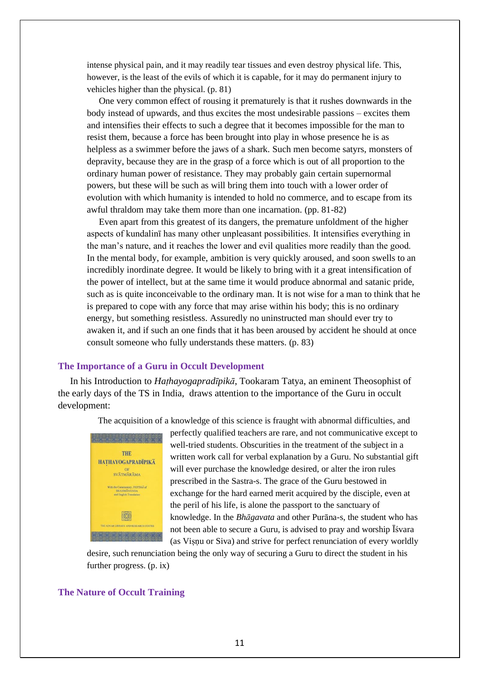intense physical pain, and it may readily tear tissues and even destroy physical life. This, however, is the least of the evils of which it is capable, for it may do permanent injury to vehicles higher than the physical. (p. 81)

 One very common effect of rousing it prematurely is that it rushes downwards in the body instead of upwards, and thus excites the most undesirable passions – excites them and intensifies their effects to such a degree that it becomes impossible for the man to resist them, because a force has been brought into play in whose presence he is as helpless as a swimmer before the jaws of a shark. Such men become satyrs, monsters of depravity, because they are in the grasp of a force which is out of all proportion to the ordinary human power of resistance. They may probably gain certain supernormal powers, but these will be such as will bring them into touch with a lower order of evolution with which humanity is intended to hold no commerce, and to escape from its awful thraldom may take them more than one incarnation. (pp. 81-82)

 Even apart from this greatest of its dangers, the premature unfoldment of the higher aspects of kundalinī has many other unpleasant possibilities. It intensifies everything in the man's nature, and it reaches the lower and evil qualities more readily than the good. In the mental body, for example, ambition is very quickly aroused, and soon swells to an incredibly inordinate degree. It would be likely to bring with it a great intensification of the power of intellect, but at the same time it would produce abnormal and satanic pride, such as is quite inconceivable to the ordinary man. It is not wise for a man to think that he is prepared to cope with any force that may arise within his body; this is no ordinary energy, but something resistless. Assuredly no uninstructed man should ever try to awaken it, and if such an one finds that it has been aroused by accident he should at once consult someone who fully understands these matters. (p. 83)

## **The Importance of a Guru in Occult Development**

 In his Introduction to *Haṭhayogapradīpikā*, Tookaram Tatya, an eminent Theosophist of the early days of the TS in India, draws attention to the importance of the Guru in occult development:

The acquisition of a knowledge of this science is fraught with abnormal difficulties, and



perfectly qualified teachers are rare, and not communicative except to well-tried students. Obscurities in the treatment of the subject in a written work call for verbal explanation by a Guru. No substantial gift will ever purchase the knowledge desired, or alter the iron rules prescribed in the Sastra-s. The grace of the Guru bestowed in exchange for the hard earned merit acquired by the disciple, even at the peril of his life, is alone the passport to the sanctuary of knowledge. In the *Bhāgavata* and other Purāna-s, the student who has not been able to secure a Guru, is advised to pray and worship Īśvara (as Visnu or Siva) and strive for perfect renunciation of every worldly

desire, such renunciation being the only way of securing a Guru to direct the student in his further progress. (p. ix)

## **The Nature of Occult Training**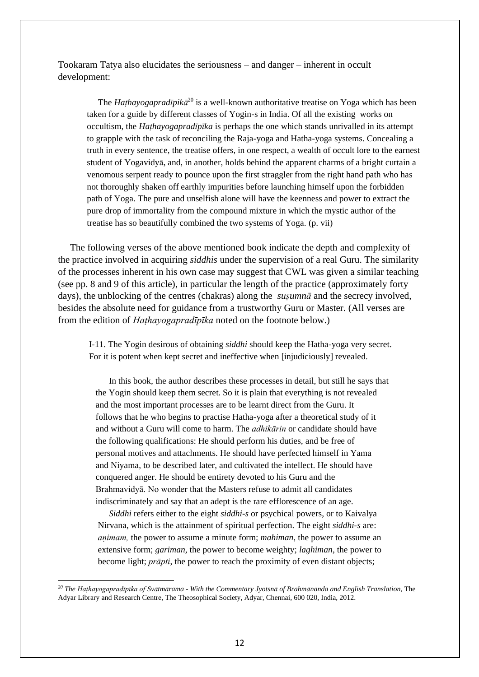Tookaram Tatya also elucidates the seriousness – and danger – inherent in occult development:

The *Haṭhayogapradīpikā*<sup>20</sup> is a well-known authoritative treatise on Yoga which has been taken for a guide by different classes of Yogin-s in India. Of all the existing works on occultism, the *Haṭhayogapradīpīka* is perhaps the one which stands unrivalled in its attempt to grapple with the task of reconciling the Raja-yoga and Hatha-yoga systems. Concealing a truth in every sentence, the treatise offers, in one respect, a wealth of occult lore to the earnest student of Yogavidyā, and, in another, holds behind the apparent charms of a bright curtain a venomous serpent ready to pounce upon the first straggler from the right hand path who has not thoroughly shaken off earthly impurities before launching himself upon the forbidden path of Yoga. The pure and unselfish alone will have the keenness and power to extract the pure drop of immortality from the compound mixture in which the mystic author of the treatise has so beautifully combined the two systems of Yoga. (p. vii)

 The following verses of the above mentioned book indicate the depth and complexity of the practice involved in acquiring *siddhis* under the supervision of a real Guru. The similarity of the processes inherent in his own case may suggest that CWL was given a similar teaching (see pp. 8 and 9 of this article), in particular the length of the practice (approximately forty days), the unblocking of the centres (chakras) along the *suṣumnā* and the secrecy involved, besides the absolute need for guidance from a trustworthy Guru or Master. (All verses are from the edition of *Haṭhayogapradīpīka* noted on the footnote below.)

 I-11. The Yogin desirous of obtaining *siddhi* should keep the Hatha-yoga very secret. For it is potent when kept secret and ineffective when [injudiciously] revealed.

 In this book, the author describes these processes in detail, but still he says that the Yogin should keep them secret. So it is plain that everything is not revealed and the most important processes are to be learnt direct from the Guru. It follows that he who begins to practise Hatha-yoga after a theoretical study of it and without a Guru will come to harm. The *adhikārin* or candidate should have the following qualifications: He should perform his duties, and be free of personal motives and attachments. He should have perfected himself in Yama and Niyama, to be described later, and cultivated the intellect. He should have conquered anger. He should be entirety devoted to his Guru and the Brahmavidyā. No wonder that the Masters refuse to admit all candidates indiscriminately and say that an adept is the rare efflorescence of an age.

 *Siddhi* refers either to the eight *siddhi-s* or psychical powers, or to Kaivalya Nirvana, which is the attainment of spiritual perfection. The eight *siddhi-s* are:  *aṇimam,* the power to assume a minute form; *mahiman*, the power to assume an extensive form; *gariman*, the power to become weighty; *laghiman*, the power to become light; *prāpti*, the power to reach the proximity of even distant objects;

*<sup>20</sup> The Haṭhayogapradīpīka of Svātmārama - With the Commentary Jyotsnā of Brahmānanda and English Translation,* The Adyar Library and Research Centre, The Theosophical Society, Adyar, Chennai, 600 020, India, 2012.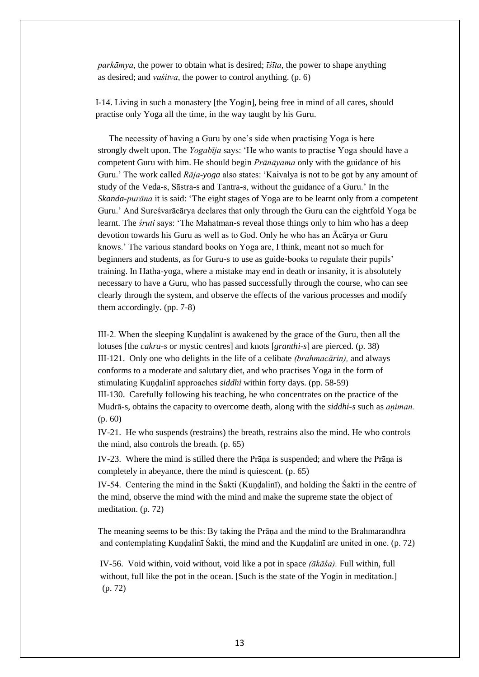*parkāmya*, the power to obtain what is desired; *īśīta*, the power to shape anything as desired; and *vaśitva*, the power to control anything. (p. 6)

 I-14. Living in such a monastery [the Yogin], being free in mind of all cares, should practise only Yoga all the time, in the way taught by his Guru.

 The necessity of having a Guru by one's side when practising Yoga is here strongly dwelt upon. The *Yogabīja* says: 'He who wants to practise Yoga should have a competent Guru with him. He should begin *Prānāyama* only with the guidance of his Guru.' The work called *Rāja-yoga* also states: 'Kaivalya is not to be got by any amount of study of the Veda-s, Sāstra-s and Tantra-s, without the guidance of a Guru.' In the *Skanda-purāna* it is said: 'The eight stages of Yoga are to be learnt only from a competent Guru.' And Sureśvarācārya declares that only through the Guru can the eightfold Yoga be learnt. The *śruti* says: 'The Mahatman-s reveal those things only to him who has a deep devotion towards his Guru as well as to God. Only he who has an Ācārya or Guru knows.' The various standard books on Yoga are, I think, meant not so much for beginners and students, as for Guru-s to use as guide-books to regulate their pupils' training. In Hatha-yoga, where a mistake may end in death or insanity, it is absolutely necessary to have a Guru, who has passed successfully through the course, who can see clearly through the system, and observe the effects of the various processes and modify them accordingly. (pp. 7-8)

 III-2. When the sleeping Kuṇḍalinī is awakened by the grace of the Guru, then all the lotuses [the *cakra-s* or mystic centres] and knots [*granthi-s*] are pierced. (p. 38) III-121. Only one who delights in the life of a celibate *(brahmacārin),* and always conforms to a moderate and salutary diet, and who practises Yoga in the form of stimulating Kundalinī approaches *siddhi* within forty days. (pp. 58-59) III-130. Carefully following his teaching, he who concentrates on the practice of the Mudrā-s, obtains the capacity to overcome death, along with the *siddhi-s* such as *aṇiman.*

(p. 60)

 IV-21. He who suspends (restrains) the breath, restrains also the mind. He who controls the mind, also controls the breath. (p. 65)

 IV-23. Where the mind is stilled there the Prāṇa is suspended; and where the Prāṇa is completely in abeyance, there the mind is quiescent. (p. 65)

 IV-54. Centering the mind in the Śakti (Kuṇḍalinī), and holding the Śakti in the centre of the mind, observe the mind with the mind and make the supreme state the object of meditation. (p. 72)

 The meaning seems to be this: By taking the Prāṇa and the mind to the Brahmarandhra and contemplating Kundalinī Śakti, the mind and the Kundalinī are united in one. (p. 72)

 IV-56. Void within, void without, void like a pot in space *(ākāśa).* Full within, full without, full like the pot in the ocean. [Such is the state of the Yogin in meditation.] (p. 72)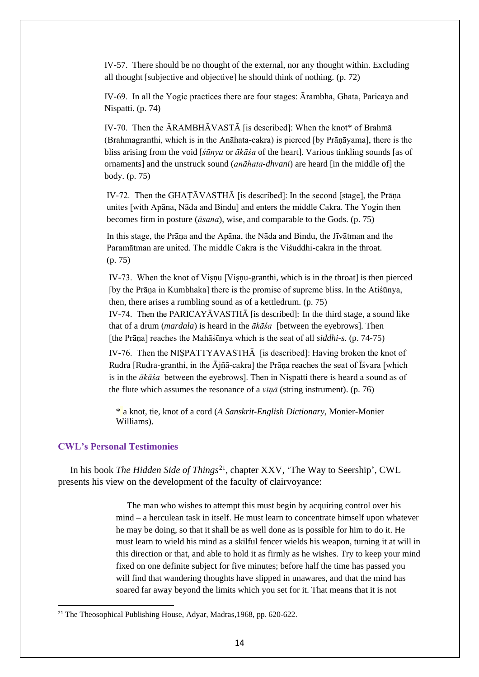IV-57. There should be no thought of the external, nor any thought within. Excluding all thought [subjective and objective] he should think of nothing. (p. 72)

 IV-69. In all the Yogic practices there are four stages: Ārambha, Ghata, Paricaya and Nispatti. (p. 74)

 IV-70. Then the ĀRAMBHĀVASTĀ [is described]: When the knot\* of Brahmā (Brahmagranthi, which is in the Anāhata-cakra) is pierced [by Prāṇāyama], there is the bliss arising from the void [*śūnya* or *ākāśa* of the heart]. Various tinkling sounds [as of ornaments] and the unstruck sound (*anāhata-dhvani*) are heard [in the middle of] the body. (p. 75)

 IV-72. Then the GHAṬĀVASTHĀ [is described]: In the second [stage], the Prāṇa unites [with Apāna, Nāda and Bindu] and enters the middle Cakra. The Yogin then becomes firm in posture (*āsana*), wise, and comparable to the Gods. (p. 75)

 In this stage, the Prāṇa and the Apāna, the Nāda and Bindu, the Jīvātman and the Paramātman are united. The middle Cakra is the Viśuddhi-cakra in the throat. (p. 75)

 IV-73. When the knot of Viṣṇu [Viṣṇu-granthi, which is in the throat] is then pierced [by the Prāṇa in Kumbhaka] there is the promise of supreme bliss. In the Atiśūnya, then, there arises a rumbling sound as of a kettledrum. (p. 75)

 IV-74. Then the PARICAYĀVASTHĀ [is described]: In the third stage, a sound like that of a drum (*mardala*) is heard in the *ākāśa* [between the eyebrows]. Then [the Prāṇa] reaches the Mahāśūnya which is the seat of all *siddhi-s.* (p. 74-75)

IV-76. Then the NISPATTYAVASTH $\bar{A}$  [is described]: Having broken the knot of Rudra [Rudra-granthi, in the  $\bar{A}$ jñā-cakra] the Prāna reaches the seat of Īśvara [which] is in the *ākāśa* between the eyebrows]. Then in Niṣpatti there is heard a sound as of the flute which assumes the resonance of a *vīṇā* (string instrument). (p. 76)

\* a knot, tie, knot of a cord (*A Sanskrit-English Dictionary*, Monier-Monier Williams).

## **CWL's Personal Testimonies**

In his book *The Hidden Side of Things*<sup>21</sup>, chapter XXV, 'The Way to Seership', CWL presents his view on the development of the faculty of clairvoyance:

> The man who wishes to attempt this must begin by acquiring control over his mind – a herculean task in itself. He must learn to concentrate himself upon whatever he may be doing, so that it shall be as well done as is possible for him to do it. He must learn to wield his mind as a skilful fencer wields his weapon, turning it at will in this direction or that, and able to hold it as firmly as he wishes. Try to keep your mind fixed on one definite subject for five minutes; before half the time has passed you will find that wandering thoughts have slipped in unawares, and that the mind has soared far away beyond the limits which you set for it. That means that it is not

<sup>&</sup>lt;sup>21</sup> The Theosophical Publishing House, Adyar, Madras, 1968, pp. 620-622.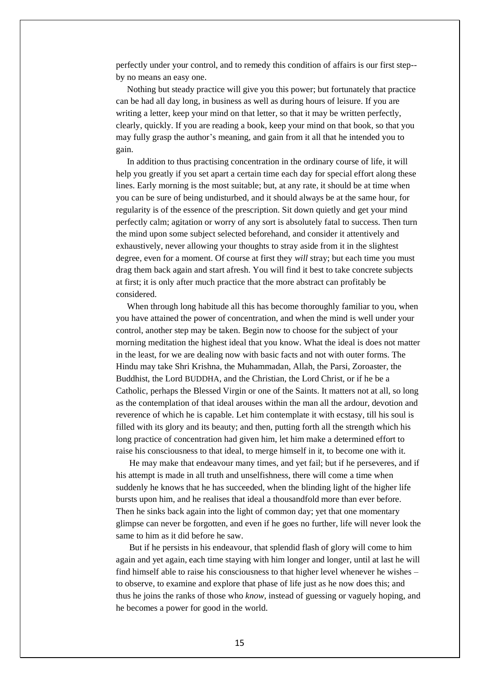perfectly under your control, and to remedy this condition of affairs is our first step- by no means an easy one.

 Nothing but steady practice will give you this power; but fortunately that practice can be had all day long, in business as well as during hours of leisure. If you are writing a letter, keep your mind on that letter, so that it may be written perfectly, clearly, quickly. If you are reading a book, keep your mind on that book, so that you may fully grasp the author's meaning, and gain from it all that he intended you to gain.

 In addition to thus practising concentration in the ordinary course of life, it will help you greatly if you set apart a certain time each day for special effort along these lines. Early morning is the most suitable; but, at any rate, it should be at time when you can be sure of being undisturbed, and it should always be at the same hour, for regularity is of the essence of the prescription. Sit down quietly and get your mind perfectly calm; agitation or worry of any sort is absolutely fatal to success. Then turn the mind upon some subject selected beforehand, and consider it attentively and exhaustively, never allowing your thoughts to stray aside from it in the slightest degree, even for a moment. Of course at first they *will* stray; but each time you must drag them back again and start afresh. You will find it best to take concrete subjects at first; it is only after much practice that the more abstract can profitably be considered.

 When through long habitude all this has become thoroughly familiar to you, when you have attained the power of concentration, and when the mind is well under your control, another step may be taken. Begin now to choose for the subject of your morning meditation the highest ideal that you know. What the ideal is does not matter in the least, for we are dealing now with basic facts and not with outer forms. The Hindu may take Shri Krishna, the Muhammadan, Allah, the Parsi, Zoroaster, the Buddhist, the Lord BUDDHA, and the Christian, the Lord Christ, or if he be a Catholic, perhaps the Blessed Virgin or one of the Saints. It matters not at all, so long as the contemplation of that ideal arouses within the man all the ardour, devotion and reverence of which he is capable. Let him contemplate it with ecstasy, till his soul is filled with its glory and its beauty; and then, putting forth all the strength which his long practice of concentration had given him, let him make a determined effort to raise his consciousness to that ideal, to merge himself in it, to become one with it.

 He may make that endeavour many times, and yet fail; but if he perseveres, and if his attempt is made in all truth and unselfishness, there will come a time when suddenly he knows that he has succeeded, when the blinding light of the higher life bursts upon him, and he realises that ideal a thousandfold more than ever before. Then he sinks back again into the light of common day; yet that one momentary glimpse can never be forgotten, and even if he goes no further, life will never look the same to him as it did before he saw.

 But if he persists in his endeavour, that splendid flash of glory will come to him again and yet again, each time staying with him longer and longer, until at last he will find himself able to raise his consciousness to that higher level whenever he wishes – to observe, to examine and explore that phase of life just as he now does this; and thus he joins the ranks of those who *know,* instead of guessing or vaguely hoping, and he becomes a power for good in the world.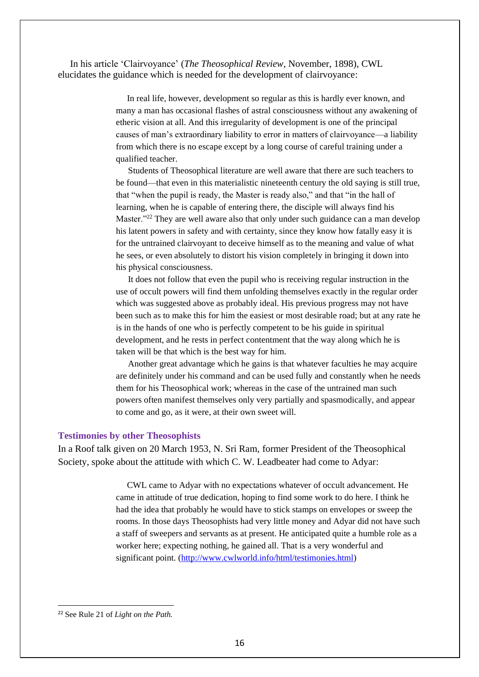In his article 'Clairvoyance' (*The Theosophical Review*, November, 1898), CWL elucidates the guidance which is needed for the development of clairvoyance:

> In real life, however, development so regular as this is hardly ever known, and many a man has occasional flashes of astral consciousness without any awakening of etheric vision at all. And this irregularity of development is one of the principal causes of man's extraordinary liability to error in matters of clairvoyance—a liability from which there is no escape except by a long course of careful training under a qualified teacher.

> Students of Theosophical literature are well aware that there are such teachers to be found—that even in this materialistic nineteenth century the old saying is still true, that "when the pupil is ready, the Master is ready also," and that "in the hall of learning, when he is capable of entering there, the disciple will always find his Master."<sup>22</sup> They are well aware also that only under such guidance can a man develop his latent powers in safety and with certainty, since they know how fatally easy it is for the untrained clairvoyant to deceive himself as to the meaning and value of what he sees, or even absolutely to distort his vision completely in bringing it down into his physical consciousness.

> It does not follow that even the pupil who is receiving regular instruction in the use of occult powers will find them unfolding themselves exactly in the regular order which was suggested above as probably ideal. His previous progress may not have been such as to make this for him the easiest or most desirable road; but at any rate he is in the hands of one who is perfectly competent to be his guide in spiritual development, and he rests in perfect contentment that the way along which he is taken will be that which is the best way for him.

> Another great advantage which he gains is that whatever faculties he may acquire are definitely under his command and can be used fully and constantly when he needs them for his Theosophical work; whereas in the case of the untrained man such powers often manifest themselves only very partially and spasmodically, and appear to come and go, as it were, at their own sweet will.

## **Testimonies by other Theosophists**

In a Roof talk given on 20 March 1953, N. Sri Ram, former President of the Theosophical Society, spoke about the attitude with which C. W. Leadbeater had come to Adyar:

> CWL came to Adyar with no expectations whatever of occult advancement. He came in attitude of true dedication, hoping to find some work to do here. I think he had the idea that probably he would have to stick stamps on envelopes or sweep the rooms. In those days Theosophists had very little money and Adyar did not have such a staff of sweepers and servants as at present. He anticipated quite a humble role as a worker here; expecting nothing, he gained all. That is a very wonderful and significant point. [\(http://www.cwlworld.info/html/testimonies.html\)](http://www.cwlworld.info/html/testimonies.html)

<sup>22</sup> See Rule 21 of *Light on the Path.*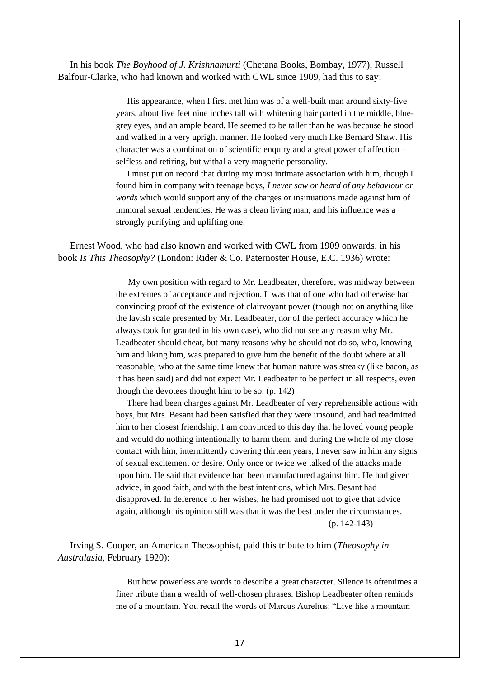In his book *The Boyhood of J. Krishnamurti* (Chetana Books, Bombay, 1977), Russell Balfour-Clarke, who had known and worked with CWL since 1909, had this to say:

> His appearance, when I first met him was of a well-built man around sixty-five years, about five feet nine inches tall with whitening hair parted in the middle, bluegrey eyes, and an ample beard. He seemed to be taller than he was because he stood and walked in a very upright manner. He looked very much like Bernard Shaw. His character was a combination of scientific enquiry and a great power of affection – selfless and retiring, but withal a very magnetic personality.

> I must put on record that during my most intimate association with him, though I found him in company with teenage boys, *I never saw or heard of any behaviour or words* which would support any of the charges or insinuations made against him of immoral sexual tendencies. He was a clean living man, and his influence was a strongly purifying and uplifting one.

 Ernest Wood, who had also known and worked with CWL from 1909 onwards, in his book *Is This Theosophy?* (London: Rider & Co. Paternoster House, E.C. 1936) wrote:

> My own position with regard to Mr. Leadbeater, therefore, was midway between the extremes of acceptance and rejection. It was that of one who had otherwise had convincing proof of the existence of clairvoyant power (though not on anything like the lavish scale presented by Mr. Leadbeater, nor of the perfect accuracy which he always took for granted in his own case), who did not see any reason why Mr. Leadbeater should cheat, but many reasons why he should not do so, who, knowing him and liking him, was prepared to give him the benefit of the doubt where at all reasonable, who at the same time knew that human nature was streaky (like bacon, as it has been said) and did not expect Mr. Leadbeater to be perfect in all respects, even though the devotees thought him to be so. (p. 142)

> There had been charges against Mr. Leadbeater of very reprehensible actions with boys, but Mrs. Besant had been satisfied that they were unsound, and had readmitted him to her closest friendship. I am convinced to this day that he loved young people and would do nothing intentionally to harm them, and during the whole of my close contact with him, intermittently covering thirteen years, I never saw in him any signs of sexual excitement or desire. Only once or twice we talked of the attacks made upon him. He said that evidence had been manufactured against him. He had given advice, in good faith, and with the best intentions, which Mrs. Besant had disapproved. In deference to her wishes, he had promised not to give that advice again, although his opinion still was that it was the best under the circumstances. (p. 142-143)

 Irving S. Cooper, an American Theosophist, paid this tribute to him (*Theosophy in Australasia*, February 1920):

> But how powerless are words to describe a great character. Silence is oftentimes a finer tribute than a wealth of well-chosen phrases. Bishop Leadbeater often reminds me of a mountain. You recall the words of Marcus Aurelius: "Live like a mountain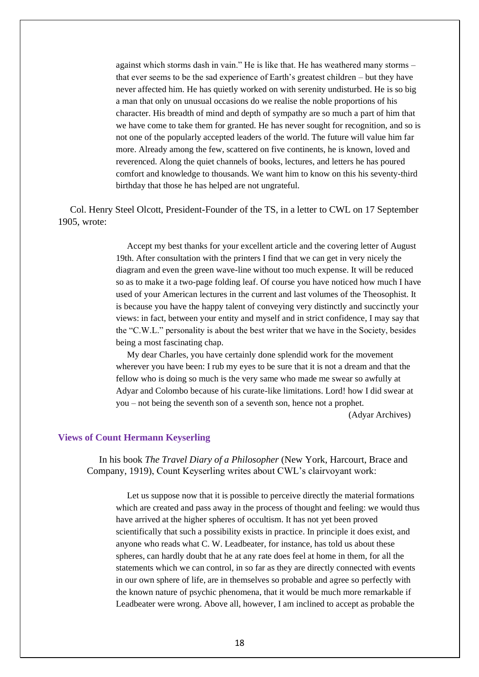against which storms dash in vain." He is like that. He has weathered many storms – that ever seems to be the sad experience of Earth's greatest children – but they have never affected him. He has quietly worked on with serenity undisturbed. He is so big a man that only on unusual occasions do we realise the noble proportions of his character. His breadth of mind and depth of sympathy are so much a part of him that we have come to take them for granted. He has never sought for recognition, and so is not one of the popularly accepted leaders of the world. The future will value him far more. Already among the few, scattered on five continents, he is known, loved and reverenced. Along the quiet channels of books, lectures, and letters he has poured comfort and knowledge to thousands. We want him to know on this his seventy-third birthday that those he has helped are not ungrateful.

 Col. Henry Steel Olcott, President-Founder of the TS, in a letter to CWL on 17 September 1905, wrote:

> Accept my best thanks for your excellent article and the covering letter of August 19th. After consultation with the printers I find that we can get in very nicely the diagram and even the green wave-line without too much expense. It will be reduced so as to make it a two-page folding leaf. Of course you have noticed how much I have used of your American lectures in the current and last volumes of the Theosophist. It is because you have the happy talent of conveying very distinctly and succinctly your views: in fact, between your entity and myself and in strict confidence, I may say that the "C.W.L." personality is about the best writer that we have in the Society, besides being a most fascinating chap.

 My dear Charles, you have certainly done splendid work for the movement wherever you have been: I rub my eyes to be sure that it is not a dream and that the fellow who is doing so much is the very same who made me swear so awfully at Adyar and Colombo because of his curate-like limitations. Lord! how I did swear at you – not being the seventh son of a seventh son, hence not a prophet.

(Adyar Archives)

#### **Views of Count Hermann Keyserling**

 In his book *The Travel Diary of a Philosopher* (New York, Harcourt, Brace and Company, 1919), Count Keyserling writes about CWL's clairvoyant work:

 Let us suppose now that it is possible to perceive directly the material formations which are created and pass away in the process of thought and feeling: we would thus have arrived at the higher spheres of occultism. It has not yet been proved scientifically that such a possibility exists in practice. In principle it does exist, and anyone who reads what C. W. Leadbeater, for instance, has told us about these spheres, can hardly doubt that he at any rate does feel at home in them, for all the statements which we can control, in so far as they are directly connected with events in our own sphere of life, are in themselves so probable and agree so perfectly with the known nature of psychic phenomena, that it would be much more remarkable if Leadbeater were wrong. Above all, however, I am inclined to accept as probable the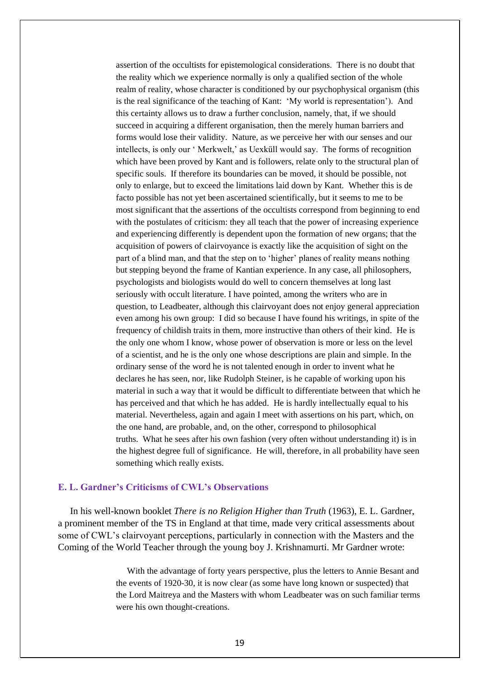assertion of the occultists for epistemological considerations. There is no doubt that the reality which we experience normally is only a qualified section of the whole realm of reality, whose character is conditioned by our psychophysical organism (this is the real significance of the teaching of Kant: 'My world is representation'). And this certainty allows us to draw a further conclusion, namely, that, if we should succeed in acquiring a different organisation, then the merely human barriers and forms would lose their validity. Nature, as we perceive her with our senses and our intellects, is only our ' Merkwelt,' as Uexküll would say. The forms of recognition which have been proved by Kant and is followers, relate only to the structural plan of specific souls. If therefore its boundaries can be moved, it should be possible, not only to enlarge, but to exceed the limitations laid down by Kant. Whether this is de facto possible has not yet been ascertained scientifically, but it seems to me to be most significant that the assertions of the occultists correspond from beginning to end with the postulates of criticism: they all teach that the power of increasing experience and experiencing differently is dependent upon the formation of new organs; that the acquisition of powers of clairvoyance is exactly like the acquisition of sight on the part of a blind man, and that the step on to 'higher' planes of reality means nothing but stepping beyond the frame of Kantian experience. In any case, all philosophers, psychologists and biologists would do well to concern themselves at long last seriously with occult literature. I have pointed, among the writers who are in question, to Leadbeater, although this clairvoyant does not enjoy general appreciation even among his own group: I did so because I have found his writings, in spite of the frequency of childish traits in them, more instructive than others of their kind. He is the only one whom I know, whose power of observation is more or less on the level of a scientist, and he is the only one whose descriptions are plain and simple. In the ordinary sense of the word he is not talented enough in order to invent what he declares he has seen, nor, like Rudolph Steiner, is he capable of working upon his material in such a way that it would be difficult to differentiate between that which he has perceived and that which he has added. He is hardly intellectually equal to his material. Nevertheless, again and again I meet with assertions on his part, which, on the one hand, are probable, and, on the other, correspond to philosophical truths. What he sees after his own fashion (very often without understanding it) is in the highest degree full of significance. He will, therefore, in all probability have seen something which really exists.

## **E. L. Gardner's Criticisms of CWL's Observations**

 In his well-known booklet *There is no Religion Higher than Truth* (1963), E. L. Gardner, a prominent member of the TS in England at that time, made very critical assessments about some of CWL's clairvoyant perceptions, particularly in connection with the Masters and the Coming of the World Teacher through the young boy J. Krishnamurti. Mr Gardner wrote:

> With the advantage of forty years perspective, plus the letters to Annie Besant and the events of 1920-30, it is now clear (as some have long known or suspected) that the Lord Maitreya and the Masters with whom Leadbeater was on such familiar terms were his own thought-creations.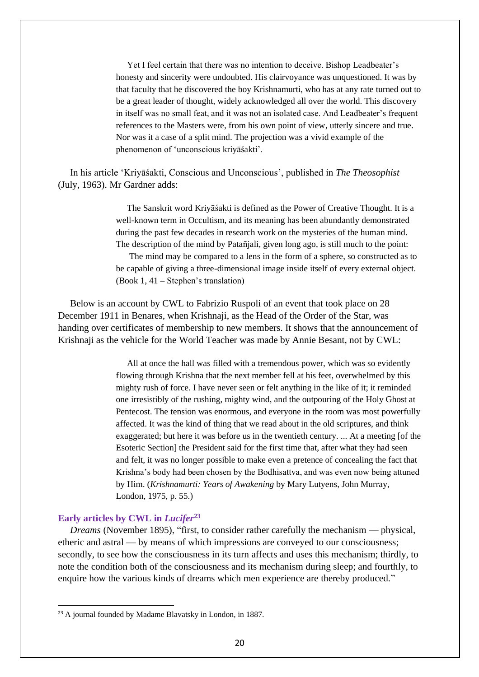Yet I feel certain that there was no intention to deceive. Bishop Leadbeater's honesty and sincerity were undoubted. His clairvoyance was unquestioned. It was by that faculty that he discovered the boy Krishnamurti, who has at any rate turned out to be a great leader of thought, widely acknowledged all over the world. This discovery in itself was no small feat, and it was not an isolated case. And Leadbeater's frequent references to the Masters were, from his own point of view, utterly sincere and true. Nor was it a case of a split mind. The projection was a vivid example of the phenomenon of 'unconscious kriyāśakti'.

 In his article 'Kriyāśakti, Conscious and Unconscious', published in *The Theosophist* (July, 1963). Mr Gardner adds:

> The Sanskrit word Kriyāśakti is defined as the Power of Creative Thought. It is a well-known term in Occultism, and its meaning has been abundantly demonstrated during the past few decades in research work on the mysteries of the human mind. The description of the mind by Patañjali, given long ago, is still much to the point: The mind may be compared to a lens in the form of a sphere, so constructed as to be capable of giving a three-dimensional image inside itself of every external object. (Book 1, 41 – Stephen's translation)

 Below is an account by CWL to Fabrizio Ruspoli of an event that took place on 28 December 1911 in Benares, when Krishnaji, as the Head of the Order of the Star, was handing over certificates of membership to new members. It shows that the announcement of Krishnaji as the vehicle for the World Teacher was made by Annie Besant, not by CWL:

> All at once the hall was filled with a tremendous power, which was so evidently flowing through Krishna that the next member fell at his feet, overwhelmed by this mighty rush of force. I have never seen or felt anything in the like of it; it reminded one irresistibly of the rushing, mighty wind, and the outpouring of the Holy Ghost at Pentecost. The tension was enormous, and everyone in the room was most powerfully affected. It was the kind of thing that we read about in the old scriptures, and think exaggerated; but here it was before us in the twentieth century. ... At a meeting [of the Esoteric Section] the President said for the first time that, after what they had seen and felt, it was no longer possible to make even a pretence of concealing the fact that Krishna's body had been chosen by the Bodhisattva, and was even now being attuned by Him. (*Krishnamurti: Years of Awakening* by Mary Lutyens, John Murray, London, 1975, p. 55.)

## **Early articles by CWL in** *Lucifer***<sup>23</sup>**

 *Dreams* (November 1895), "first, to consider rather carefully the mechanism — physical, etheric and astral — by means of which impressions are conveyed to our consciousness; secondly, to see how the consciousness in its turn affects and uses this mechanism; thirdly, to note the condition both of the consciousness and its mechanism during sleep; and fourthly, to enquire how the various kinds of dreams which men experience are thereby produced."

<sup>23</sup> A journal founded by Madame Blavatsky in London, in 1887.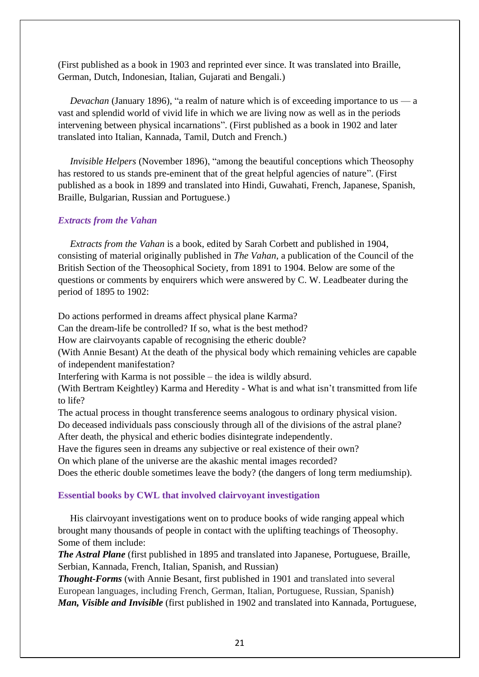(First published as a book in 1903 and reprinted ever since. It was translated into Braille, German, Dutch, Indonesian, Italian, Gujarati and Bengali.)

 *Devachan* (January 1896), "a realm of nature which is of exceeding importance to us — a vast and splendid world of vivid life in which we are living now as well as in the periods intervening between physical incarnations". (First published as a book in 1902 and later translated into Italian, Kannada, Tamil, Dutch and French.)

 *Invisible Helpers* (November 1896), "among the beautiful conceptions which Theosophy has restored to us stands pre-eminent that of the great helpful agencies of nature". (First published as a book in 1899 and translated into Hindi, Guwahati, French, Japanese, Spanish, Braille, Bulgarian, Russian and Portuguese.)

## *Extracts from the Vahan*

 *Extracts from the Vahan* is a book, edited by Sarah Corbett and published in 1904, consisting of material originally published in *The Vahan*, a publication of the Council of the British Section of the Theosophical Society, from 1891 to 1904. Below are some of the questions or comments by enquirers which were answered by C. W. Leadbeater during the period of 1895 to 1902:

Do actions performed in dreams affect physical plane Karma?

Can the dream-life be controlled? If so, what is the best method?

How are clairvoyants capable of recognising the etheric double?

(With Annie Besant) At the death of the physical body which remaining vehicles are capable of independent manifestation?

Interfering with Karma is not possible – the idea is wildly absurd.

(With Bertram Keightley) Karma and Heredity - What is and what isn't transmitted from life to life?

The actual process in thought transference seems analogous to ordinary physical vision.

Do deceased individuals pass consciously through all of the divisions of the astral plane? After death, the physical and etheric bodies disintegrate independently.

Have the figures seen in dreams any subjective or real existence of their own?

On which plane of the universe are the akashic mental images recorded?

Does the etheric double sometimes leave the body? (the dangers of long term mediumship).

## **Essential books by CWL that involved clairvoyant investigation**

 His clairvoyant investigations went on to produce books of wide ranging appeal which brought many thousands of people in contact with the uplifting teachings of Theosophy. Some of them include:

*The Astral Plane* (first published in 1895 and translated into Japanese, Portuguese, Braille, Serbian, Kannada, French, Italian, Spanish, and Russian)

*Thought-Forms* (with Annie Besant, first published in 1901 and translated into several European languages, including French, German, Italian, Portuguese, Russian, Spanish) *Man, Visible and Invisible* (first published in 1902 and translated into Kannada, Portuguese,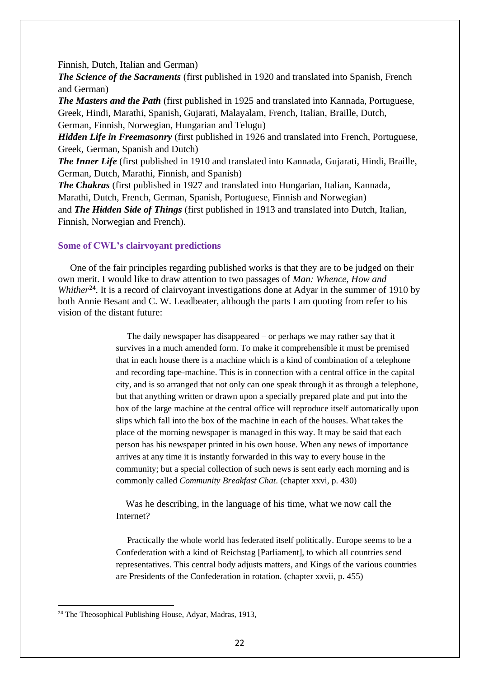Finnish, Dutch, Italian and German)

*The Science of the Sacraments* (first published in 1920 and translated into Spanish, French and German)

*The Masters and the Path* (first published in 1925 and translated into Kannada, Portuguese, Greek, Hindi, Marathi, Spanish, Gujarati, Malayalam, French, Italian, Braille, Dutch, German, Finnish, Norwegian, Hungarian and Telugu) *Hidden Life in Freemasonry* (first published in 1926 and translated into French, Portuguese,

Greek, German, Spanish and Dutch)

*The Inner Life* (first published in 1910 and translated into Kannada, Gujarati, Hindi, Braille, German, Dutch, Marathi, Finnish, and Spanish)

*The Chakras* (first published in 1927 and translated into Hungarian, Italian, Kannada, Marathi, Dutch, French, German, Spanish, Portuguese, Finnish and Norwegian) and *The Hidden Side of Things* (first published in 1913 and translated into Dutch, Italian, Finnish, Norwegian and French).

## **Some of CWL's clairvoyant predictions**

 One of the fair principles regarding published works is that they are to be judged on their own merit. I would like to draw attention to two passages of *Man: Whence, How and*  Whither<sup>24</sup>. It is a record of clairvoyant investigations done at Adyar in the summer of 1910 by both Annie Besant and C. W. Leadbeater, although the parts I am quoting from refer to his vision of the distant future:

> The daily newspaper has disappeared – or perhaps we may rather say that it survives in a much amended form. To make it comprehensible it must be premised that in each house there is a machine which is a kind of combination of a telephone and recording tape-machine. This is in connection with a central office in the capital city, and is so arranged that not only can one speak through it as through a telephone, but that anything written or drawn upon a specially prepared plate and put into the box of the large machine at the central office will reproduce itself automatically upon slips which fall into the box of the machine in each of the houses. What takes the place of the morning newspaper is managed in this way. It may be said that each person has his newspaper printed in his own house. When any news of importance arrives at any time it is instantly forwarded in this way to every house in the community; but a special collection of such news is sent early each morning and is commonly called *Community Breakfast Chat*. (chapter xxvi, p. 430)

 Was he describing, in the language of his time, what we now call the Internet?

 Practically the whole world has federated itself politically. Europe seems to be a Confederation with a kind of Reichstag [Parliament], to which all countries send representatives. This central body adjusts matters, and Kings of the various countries are Presidents of the Confederation in rotation. (chapter xxvii, p. 455)

<sup>24</sup> The Theosophical Publishing House, Adyar, Madras, 1913,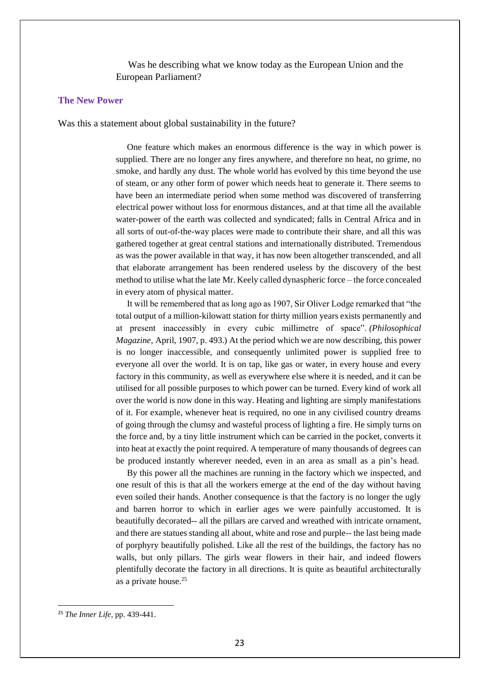Was he describing what we know today as the European Union and the European Parliament?

#### **The New Power**

Was this a statement about global sustainability in the future?

 One feature which makes an enormous difference is the way in which power is supplied. There are no longer any fires anywhere, and therefore no heat, no grime, no smoke, and hardly any dust. The whole world has evolved by this time beyond the use of steam, or any other form of power which needs heat to generate it. There seems to have been an intermediate period when some method was discovered of transferring electrical power without loss for enormous distances, and at that time all the available water-power of the earth was collected and syndicated; falls in Central Africa and in all sorts of out-of-the-way places were made to contribute their share, and all this was gathered together at great central stations and internationally distributed. Tremendous as was the power available in that way, it has now been altogether transcended, and all that elaborate arrangement has been rendered useless by the discovery of the best method to utilise what the late Mr. Keely called dynaspheric force – the force concealed in every atom of physical matter.

 It will be remembered that as long ago as 1907, Sir Oliver Lodge remarked that "the total output of a million-kilowatt station for thirty million years exists permanently and at present inaccessibly in every cubic millimetre of space". *(Philosophical Magazine,* April, 1907, p. 493.) At the period which we are now describing, this power is no longer inaccessible, and consequently unlimited power is supplied free to everyone all over the world. It is on tap, like gas or water, in every house and every factory in this community, as well as everywhere else where it is needed, and it can be utilised for all possible purposes to which power can be turned. Every kind of work all over the world is now done in this way. Heating and lighting are simply manifestations of it. For example, whenever heat is required, no one in any civilised country dreams of going through the clumsy and wasteful process of lighting a fire. He simply turns on the force and, by a tiny little instrument which can be carried in the pocket, converts it into heat at exactly the point required. A temperature of many thousands of degrees can be produced instantly wherever needed, even in an area as small as a pin's head.

 By this power all the machines are running in the factory which we inspected, and one result of this is that all the workers emerge at the end of the day without having even soiled their hands. Another consequence is that the factory is no longer the ugly and barren horror to which in earlier ages we were painfully accustomed. It is beautifully decorated-- all the pillars are carved and wreathed with intricate ornament, and there are statues standing all about, white and rose and purple-- the last being made of porphyry beautifully polished. Like all the rest of the buildings, the factory has no walls, but only pillars. The girls wear flowers in their hair, and indeed flowers plentifully decorate the factory in all directions. It is quite as beautiful architecturally as a private house.<sup>25</sup>

<sup>25</sup> *The Inner Life*, pp. 439-441.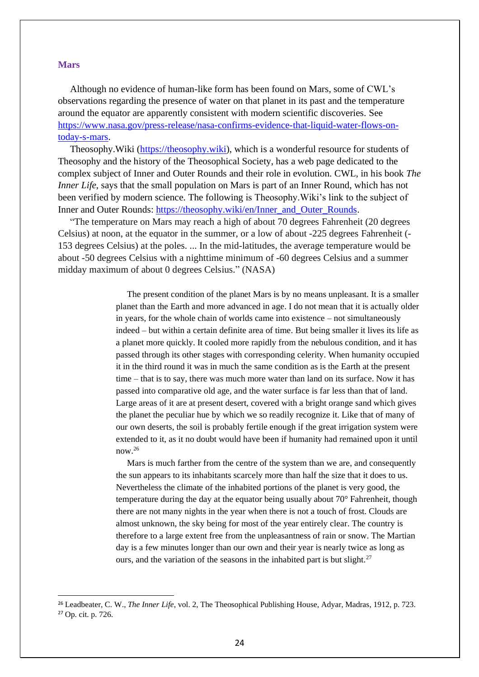#### **Mars**

 Although no evidence of human-like form has been found on Mars, some of CWL's observations regarding the presence of water on that planet in its past and the temperature around the equator are apparently consistent with modern scientific discoveries. See [https://www.nasa.gov/press-release/nasa-confirms-evidence-that-liquid-water-flows-on](https://www.nasa.gov/press-release/nasa-confirms-evidence-that-liquid-water-flows-on-today-s-mars)[today-s-mars.](https://www.nasa.gov/press-release/nasa-confirms-evidence-that-liquid-water-flows-on-today-s-mars)

 Theosophy.Wiki [\(https://theosophy.wiki\)](https://theosophy.wiki/), which is a wonderful resource for students of Theosophy and the history of the Theosophical Society, has a web page dedicated to the complex subject of Inner and Outer Rounds and their role in evolution. CWL, in his book *The Inner Life*, says that the small population on Mars is part of an Inner Round, which has not been verified by modern science. The following is Theosophy.Wiki's link to the subject of Inner and Outer Rounds: [https://theosophy.wiki/en/Inner\\_and\\_Outer\\_Rounds.](https://theosophy.wiki/en/Inner_and_Outer_Rounds)

 "The temperature on Mars may reach a high of about 70 degrees Fahrenheit (20 degrees Celsius) at noon, at the equator in the summer, or a low of about -225 degrees Fahrenheit (- 153 degrees Celsius) at the poles. ... In the mid-latitudes, the average temperature would be about -50 degrees Celsius with a nighttime minimum of -60 degrees Celsius and a summer midday maximum of about 0 degrees Celsius." (NASA)

> The present condition of the planet Mars is by no means unpleasant. It is a smaller planet than the Earth and more advanced in age. I do not mean that it is actually older in years, for the whole chain of worlds came into existence – not simultaneously indeed – but within a certain definite area of time. But being smaller it lives its life as a planet more quickly. It cooled more rapidly from the nebulous condition, and it has passed through its other stages with corresponding celerity. When humanity occupied it in the third round it was in much the same condition as is the Earth at the present time – that is to say, there was much more water than land on its surface. Now it has passed into comparative old age, and the water surface is far less than that of land. Large areas of it are at present desert, covered with a bright orange sand which gives the planet the peculiar hue by which we so readily recognize it. Like that of many of our own deserts, the soil is probably fertile enough if the great irrigation system were extended to it, as it no doubt would have been if humanity had remained upon it until  $now<sup>26</sup>$

> Mars is much farther from the centre of the system than we are, and consequently the sun appears to its inhabitants scarcely more than half the size that it does to us. Nevertheless the climate of the inhabited portions of the planet is very good, the temperature during the day at the equator being usually about 70° Fahrenheit, though there are not many nights in the year when there is not a touch of frost. Clouds are almost unknown, the sky being for most of the year entirely clear. The country is therefore to a large extent free from the unpleasantness of rain or snow. The Martian day is a few minutes longer than our own and their year is nearly twice as long as ours, and the variation of the seasons in the inhabited part is but slight.<sup>27</sup>

<sup>26</sup> Leadbeater, C. W., *The Inner Life*, vol. 2, The Theosophical Publishing House, Adyar, Madras, 1912, p. 723. <sup>27</sup> Op. cit. p. 726.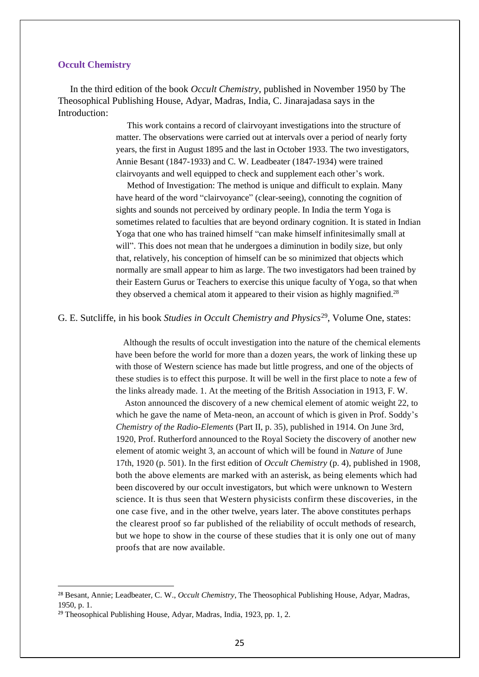#### **Occult Chemistry**

 In the third edition of the book *Occult Chemistry*, published in November 1950 by The Theosophical Publishing House, Adyar, Madras, India, C. Jinarajadasa says in the Introduction:

> This work contains a record of clairvoyant investigations into the structure of matter. The observations were carried out at intervals over a period of nearly forty years, the first in August 1895 and the last in October 1933. The two investigators, Annie Besant (1847-1933) and C. W. Leadbeater (1847-1934) were trained clairvoyants and well equipped to check and supplement each other's work.

 Method of Investigation: The method is unique and difficult to explain. Many have heard of the word "clairvoyance" (clear-seeing), connoting the cognition of sights and sounds not perceived by ordinary people. In India the term Yoga is sometimes related to faculties that are beyond ordinary cognition. It is stated in Indian Yoga that one who has trained himself "can make himself infinitesimally small at will". This does not mean that he undergoes a diminution in bodily size, but only that, relatively, his conception of himself can be so minimized that objects which normally are small appear to him as large. The two investigators had been trained by their Eastern Gurus or Teachers to exercise this unique faculty of Yoga, so that when they observed a chemical atom it appeared to their vision as highly magnified.<sup>28</sup>

G. E. Sutcliffe, in his book *Studies in Occult Chemistry and Physics*<sup>29</sup>, Volume One, states:

 Although the results of occult investigation into the nature of the chemical elements have been before the world for more than a dozen years, the work of linking these up with those of Western science has made but little progress, and one of the objects of these studies is to effect this purpose. It will be well in the first place to note a few of the links already made. 1. At the meeting of the British Association in 1913, F. W.

 Aston announced the discovery of a new chemical element of atomic weight 22, to which he gave the name of Meta-neon, an account of which is given in Prof. Soddy's *Chemistry of the Radio-Elements* (Part II, p. 35), published in 1914. On June 3rd, 1920, Prof. Rutherford announced to the Royal Society the discovery of another new element of atomic weight 3, an account of which will be found in *Nature* of June 17th, 1920 (p. 501). In the first edition of *Occult Chemistry* (p. 4), published in 1908, both the above elements are marked with an asterisk, as being elements which had been discovered by our occult investigators, but which were unknown to Western science. It is thus seen that Western physicists confirm these discoveries, in the one case five, and in the other twelve, years later. The above constitutes perhaps the clearest proof so far published of the reliability of occult methods of research, but we hope to show in the course of these studies that it is only one out of many proofs that are now available.

<sup>28</sup> Besant, Annie; Leadbeater, C. W., *Occult Chemistry*, The Theosophical Publishing House, Adyar, Madras, 1950, p. 1.

<sup>29</sup> Theosophical Publishing House, Adyar, Madras, India, 1923, pp. 1, 2.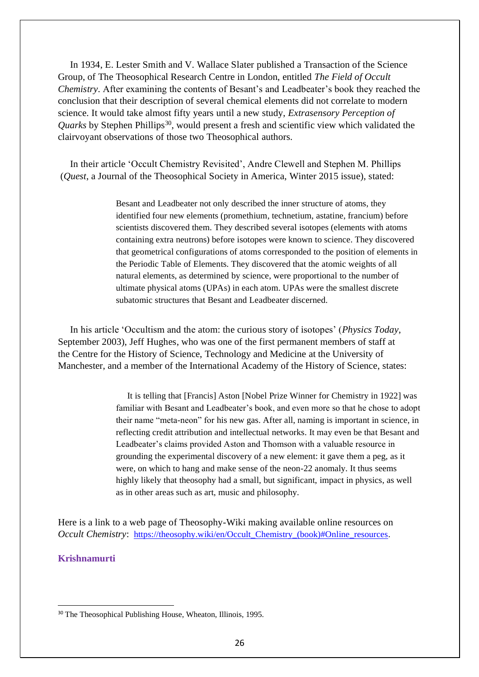In 1934, E. Lester Smith and V. Wallace Slater published a Transaction of the Science Group, of The Theosophical Research Centre in London, entitled *The Field of Occult Chemistry*. After examining the contents of Besant's and Leadbeater's book they reached the conclusion that their description of several chemical elements did not correlate to modern science. It would take almost fifty years until a new study, *Extrasensory Perception of Quarks* by Stephen Phillips<sup>30</sup>, would present a fresh and scientific view which validated the clairvoyant observations of those two Theosophical authors.

 In their article 'Occult Chemistry Revisited', Andre Clewell and Stephen M. Phillips (*Quest*, a Journal of the Theosophical Society in America, Winter 2015 issue), stated:

> Besant and Leadbeater not only described the inner structure of atoms, they identified four new elements (promethium, technetium, astatine, francium) before scientists discovered them. They described several isotopes (elements with atoms containing extra neutrons) before isotopes were known to science. They discovered that geometrical configurations of atoms corresponded to the position of elements in the Periodic Table of Elements. They discovered that the atomic weights of all natural elements, as determined by science, were proportional to the number of ultimate physical atoms (UPAs) in each atom. UPAs were the smallest discrete subatomic structures that Besant and Leadbeater discerned.

 In his article 'Occultism and the atom: the curious story of isotopes' (*Physics Today*, September 2003), Jeff Hughes, who was one of the first permanent members of staff at the Centre for the History of Science, Technology and Medicine at the University of Manchester, and a member of the International Academy of the History of Science, states:

> It is telling that [Francis] Aston [Nobel Prize Winner for Chemistry in 1922] was familiar with Besant and Leadbeater's book, and even more so that he chose to adopt their name "meta-neon" for his new gas. After all, naming is important in science, in reflecting credit attribution and intellectual networks. It may even be that Besant and Leadbeater's claims provided Aston and Thomson with a valuable resource in grounding the experimental discovery of a new element: it gave them a peg, as it were, on which to hang and make sense of the neon-22 anomaly. It thus seems highly likely that theosophy had a small, but significant, impact in physics, as well as in other areas such as art, music and philosophy.

Here is a link to a web page of Theosophy-Wiki making available online resources on *Occult Chemistry:* [https://theosophy.wiki/en/Occult\\_Chemistry\\_\(book\)#Online\\_resources.](https://theosophy.wiki/en/Occult_Chemistry_(book)#Online_resources)

## **Krishnamurti**

<sup>30</sup> The Theosophical Publishing House, Wheaton, Illinois, 1995.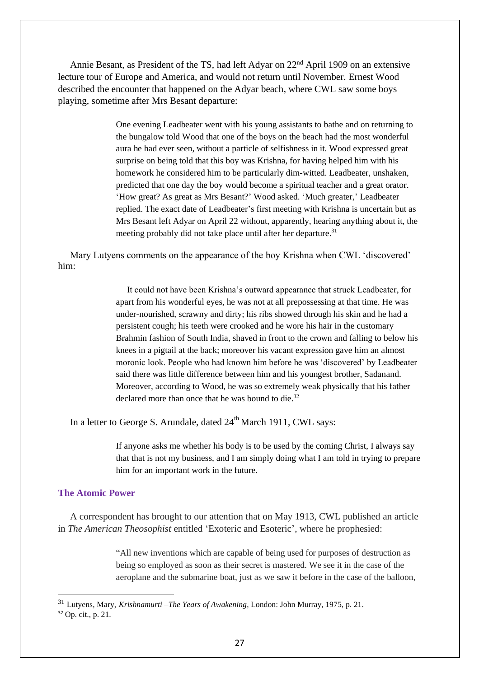Annie Besant, as President of the TS, had left Adyar on 22<sup>nd</sup> April 1909 on an extensive lecture tour of Europe and America, and would not return until November. Ernest Wood described the encounter that happened on the Adyar beach, where CWL saw some boys playing, sometime after Mrs Besant departure:

> One evening Leadbeater went with his young assistants to bathe and on returning to the bungalow told Wood that one of the boys on the beach had the most wonderful aura he had ever seen, without a particle of selfishness in it. Wood expressed great surprise on being told that this boy was Krishna, for having helped him with his homework he considered him to be particularly dim-witted. Leadbeater, unshaken, predicted that one day the boy would become a spiritual teacher and a great orator. 'How great? As great as Mrs Besant?' Wood asked. 'Much greater,' Leadbeater replied. The exact date of Leadbeater's first meeting with Krishna is uncertain but as Mrs Besant left Adyar on April 22 without, apparently, hearing anything about it, the meeting probably did not take place until after her departure.<sup>31</sup>

 Mary Lutyens comments on the appearance of the boy Krishna when CWL 'discovered' him:

> It could not have been Krishna's outward appearance that struck Leadbeater, for apart from his wonderful eyes, he was not at all prepossessing at that time. He was under-nourished, scrawny and dirty; his ribs showed through his skin and he had a persistent cough; his teeth were crooked and he wore his hair in the customary Brahmin fashion of South India, shaved in front to the crown and falling to below his knees in a pigtail at the back; moreover his vacant expression gave him an almost moronic look. People who had known him before he was 'discovered' by Leadbeater said there was little difference between him and his youngest brother, Sadanand. Moreover, according to Wood, he was so extremely weak physically that his father declared more than once that he was bound to die.<sup>32</sup>

In a letter to George S. Arundale, dated  $24<sup>th</sup>$  March 1911, CWL says:

If anyone asks me whether his body is to be used by the coming Christ, I always say that that is not my business, and I am simply doing what I am told in trying to prepare him for an important work in the future.

# **The Atomic Power**

 A correspondent has brought to our attention that on May 1913, CWL published an article in *The American Theosophist* entitled 'Exoteric and Esoteric', where he prophesied:

> "All new inventions which are capable of being used for purposes of destruction as being so employed as soon as their secret is mastered. We see it in the case of the aeroplane and the submarine boat, just as we saw it before in the case of the balloon,

<sup>31</sup> Lutyens, Mary, *Krishnamurti –The Years of Awakening*, London: John Murray, 1975, p. 21.

<sup>32</sup> Op. cit., p. 21.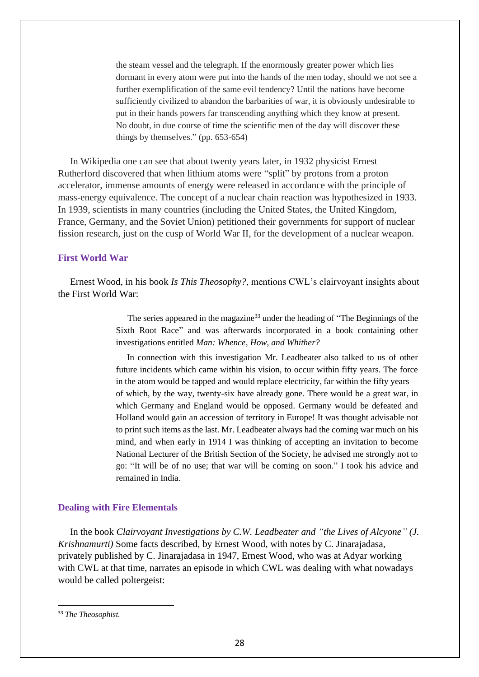the steam vessel and the telegraph. If the enormously greater power which lies dormant in every atom were put into the hands of the men today, should we not see a further exemplification of the same evil tendency? Until the nations have become sufficiently civilized to abandon the barbarities of war, it is obviously undesirable to put in their hands powers far transcending anything which they know at present. No doubt, in due course of time the scientific men of the day will discover these things by themselves." (pp. 653-654)

 In Wikipedia one can see that about twenty years later, in 1932 physicist Ernest Rutherford discovered that when lithium atoms were "split" by protons from a proton accelerator, immense amounts of energy were released in accordance with the principle of mass-energy equivalence. The concept of a nuclear chain reaction was hypothesized in 1933. In 1939, scientists in many countries (including the United States, the United Kingdom, France, Germany, and the Soviet Union) petitioned their governments for support of nuclear fission research, just on the cusp of World War II, for the development of a nuclear weapon.

## **First World War**

 Ernest Wood, in his book *Is This Theosophy?*, mentions CWL's clairvoyant insights about the First World War:

> The series appeared in the magazine<sup>33</sup> under the heading of "The Beginnings of the Sixth Root Race" and was afterwards incorporated in a book containing other investigations entitled *Man: Whence, How, and Whither?*

> In connection with this investigation Mr. Leadbeater also talked to us of other future incidents which came within his vision, to occur within fifty years. The force in the atom would be tapped and would replace electricity, far within the fifty years of which, by the way, twenty-six have already gone. There would be a great war, in which Germany and England would be opposed. Germany would be defeated and Holland would gain an accession of territory in Europe! It was thought advisable not to print such items as the last. Mr. Leadbeater always had the coming war much on his mind, and when early in 1914 I was thinking of accepting an invitation to become National Lecturer of the British Section of the Society, he advised me strongly not to go: "It will be of no use; that war will be coming on soon." I took his advice and remained in India.

#### **Dealing with Fire Elementals**

 In the book *Clairvoyant Investigations by C.W. Leadbeater and "the Lives of Alcyone" (J. Krishnamurti)* Some facts described, by Ernest Wood, with notes by C. Jinarajadasa, privately published by C. Jinarajadasa in 1947, Ernest Wood, who was at Adyar working with CWL at that time, narrates an episode in which CWL was dealing with what nowadays would be called poltergeist:

<sup>33</sup> *The Theosophist.*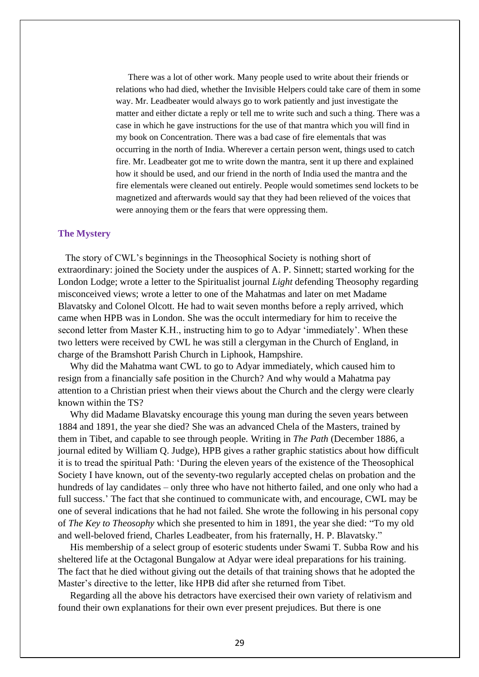There was a lot of other work. Many people used to write about their friends or relations who had died, whether the Invisible Helpers could take care of them in some way. Mr. Leadbeater would always go to work patiently and just investigate the matter and either dictate a reply or tell me to write such and such a thing. There was a case in which he gave instructions for the use of that mantra which you will find in my book on Concentration. There was a bad case of fire elementals that was occurring in the north of India. Wherever a certain person went, things used to catch fire. Mr. Leadbeater got me to write down the mantra, sent it up there and explained how it should be used, and our friend in the north of India used the mantra and the fire elementals were cleaned out entirely. People would sometimes send lockets to be magnetized and afterwards would say that they had been relieved of the voices that were annoying them or the fears that were oppressing them.

#### **The Mystery**

 The story of CWL's beginnings in the Theosophical Society is nothing short of extraordinary: joined the Society under the auspices of A. P. Sinnett; started working for the London Lodge; wrote a letter to the Spiritualist journal *Light* defending Theosophy regarding misconceived views; wrote a letter to one of the Mahatmas and later on met Madame Blavatsky and Colonel Olcott. He had to wait seven months before a reply arrived, which came when HPB was in London. She was the occult intermediary for him to receive the second letter from Master K.H., instructing him to go to Adyar 'immediately'. When these two letters were received by CWL he was still a clergyman in the Church of England, in charge of the Bramshott Parish Church in Liphook, Hampshire.

 Why did the Mahatma want CWL to go to Adyar immediately, which caused him to resign from a financially safe position in the Church? And why would a Mahatma pay attention to a Christian priest when their views about the Church and the clergy were clearly known within the TS?

 Why did Madame Blavatsky encourage this young man during the seven years between 1884 and 1891, the year she died? She was an advanced Chela of the Masters, trained by them in Tibet, and capable to see through people. Writing in *The Path* (December 1886, a journal edited by William Q. Judge), HPB gives a rather graphic statistics about how difficult it is to tread the spiritual Path: 'During the eleven years of the existence of the Theosophical Society I have known, out of the seventy-two regularly accepted chelas on probation and the hundreds of lay candidates – only three who have not hitherto failed, and one only who had a full success.' The fact that she continued to communicate with, and encourage, CWL may be one of several indications that he had not failed. She wrote the following in his personal copy of *The Key to Theosophy* which she presented to him in 1891, the year she died: "To my old and well-beloved friend, Charles Leadbeater, from his fraternally, H. P. Blavatsky."

 His membership of a select group of esoteric students under Swami T. Subba Row and his sheltered life at the Octagonal Bungalow at Adyar were ideal preparations for his training. The fact that he died without giving out the details of that training shows that he adopted the Master's directive to the letter, like HPB did after she returned from Tibet.

 Regarding all the above his detractors have exercised their own variety of relativism and found their own explanations for their own ever present prejudices. But there is one